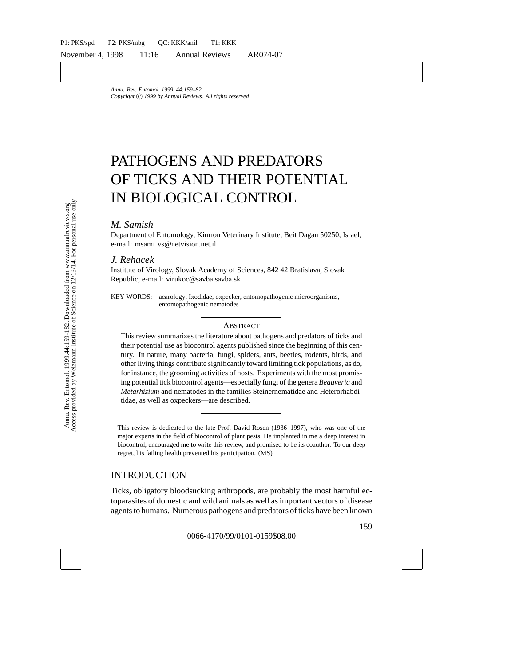# PATHOGENS AND PREDATORS OF TICKS AND THEIR POTENTIAL IN BIOLOGICAL CONTROL

#### *M. Samish*

Department of Entomology, Kimron Veterinary Institute, Beit Dagan 50250, Israel; e-mail: msami vs@netvision.net.il

#### *J. Rehacek*

Institute of Virology, Slovak Academy of Sciences, 842 42 Bratislava, Slovak Republic; e-mail: virukoc@savba.savba.sk

KEY WORDS: acarology, Ixodidae, oxpecker, entomopathogenic microorganisms, entomopathogenic nematodes

#### ABSTRACT

This review summarizes the literature about pathogens and predators of ticks and their potential use as biocontrol agents published since the beginning of this century. In nature, many bacteria, fungi, spiders, ants, beetles, rodents, birds, and other living things contribute significantly toward limiting tick populations, as do, for instance, the grooming activities of hosts. Experiments with the most promising potential tick biocontrol agents—especially fungi of the genera *Beauveria* and *Metarhizium* and nematodes in the families Steinernematidae and Heterorhabditidae, as well as oxpeckers—are described.

This review is dedicated to the late Prof. David Rosen (1936–1997), who was one of the major experts in the field of biocontrol of plant pests. He implanted in me a deep interest in biocontrol, encouraged me to write this review, and promised to be its coauthor. To our deep regret, his failing health prevented his participation. (MS)

#### **INTRODUCTION**

Ticks, obligatory bloodsucking arthropods, are probably the most harmful ectoparasites of domestic and wild animals as well as important vectors of disease agents to humans. Numerous pathogens and predators of ticks have been known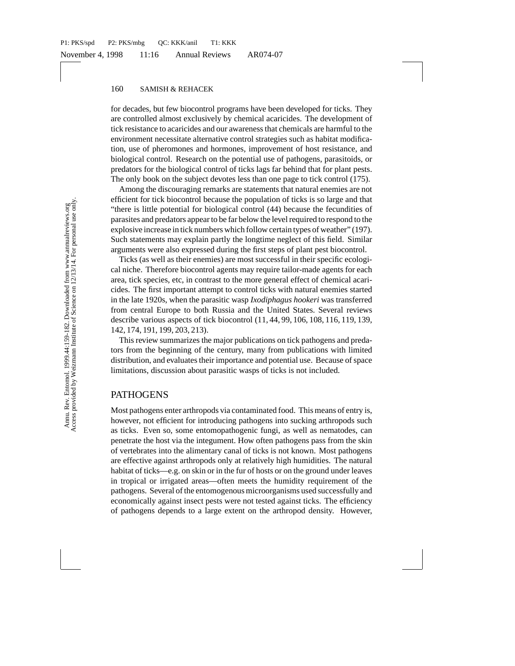for decades, but few biocontrol programs have been developed for ticks. They are controlled almost exclusively by chemical acaricides. The development of tick resistance to acaricides and our awareness that chemicals are harmful to the environment necessitate alternative control strategies such as habitat modification, use of pheromones and hormones, improvement of host resistance, and biological control. Research on the potential use of pathogens, parasitoids, or predators for the biological control of ticks lags far behind that for plant pests. The only book on the subject devotes less than one page to tick control (175).

Among the discouraging remarks are statements that natural enemies are not efficient for tick biocontrol because the population of ticks is so large and that "there is little potential for biological control (44) because the fecundities of parasites and predators appear to be far below the level required to respond to the explosive increase in tick numbers which follow certain types of weather" (197). Such statements may explain partly the longtime neglect of this field. Similar arguments were also expressed during the first steps of plant pest biocontrol.

Ticks (as well as their enemies) are most successful in their specific ecological niche. Therefore biocontrol agents may require tailor-made agents for each area, tick species, etc, in contrast to the more general effect of chemical acaricides. The first important attempt to control ticks with natural enemies started in the late 1920s, when the parasitic wasp *Ixodiphagus hookeri* was transferred from central Europe to both Russia and the United States. Several reviews describe various aspects of tick biocontrol (11, 44, 99, 106, 108, 116, 119, 139, 142, 174, 191, 199, 203, 213).

This review summarizes the major publications on tick pathogens and predators from the beginning of the century, many from publications with limited distribution, and evaluates their importance and potential use. Because of space limitations, discussion about parasitic wasps of ticks is not included.

#### PATHOGENS

Most pathogens enter arthropods via contaminated food. This means of entry is, however, not efficient for introducing pathogens into sucking arthropods such as ticks. Even so, some entomopathogenic fungi, as well as nematodes, can penetrate the host via the integument. How often pathogens pass from the skin of vertebrates into the alimentary canal of ticks is not known. Most pathogens are effective against arthropods only at relatively high humidities. The natural habitat of ticks—e.g. on skin or in the fur of hosts or on the ground under leaves in tropical or irrigated areas—often meets the humidity requirement of the pathogens. Several of the entomogenous microorganisms used successfully and economically against insect pests were not tested against ticks. The efficiency of pathogens depends to a large extent on the arthropod density. However,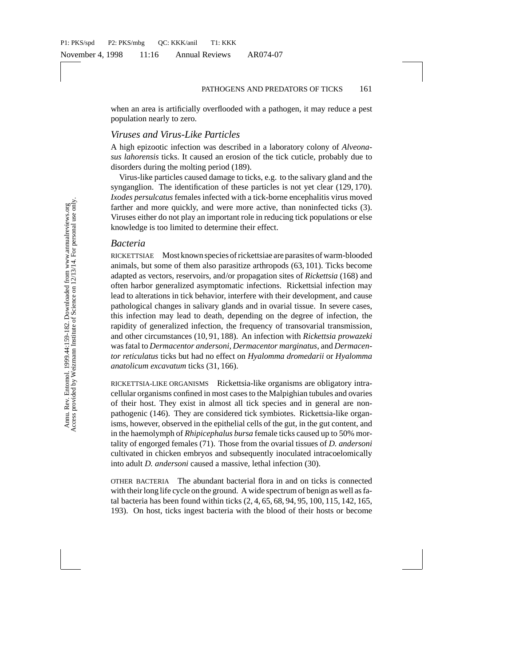when an area is artificially overflooded with a pathogen, it may reduce a pest population nearly to zero.

### *Viruses and Virus-Like Particles*

A high epizootic infection was described in a laboratory colony of *Alveonasus lahorensis* ticks. It caused an erosion of the tick cuticle, probably due to disorders during the molting period (189).

Virus-like particles caused damage to ticks, e.g. to the salivary gland and the synganglion. The identification of these particles is not yet clear (129, 170). *Ixodes persulcatus* females infected with a tick-borne encephalitis virus moved farther and more quickly, and were more active, than noninfected ticks (3). Viruses either do not play an important role in reducing tick populations or else knowledge is too limited to determine their effect.

#### *Bacteria*

RICKETTSIAE Most known species of rickettsiae are parasites of warm-blooded animals, but some of them also parasitize arthropods (63, 101). Ticks become adapted as vectors, reservoirs, and/or propagation sites of *Rickettsia* (168) and often harbor generalized asymptomatic infections. Rickettsial infection may lead to alterations in tick behavior, interfere with their development, and cause pathological changes in salivary glands and in ovarial tissue. In severe cases, this infection may lead to death, depending on the degree of infection, the rapidity of generalized infection, the frequency of transovarial transmission, and other circumstances (10, 91, 188). An infection with *Rickettsia prowazeki* was fatal to *Dermacentor andersoni, Dermacentor marginatus*, and *Dermacentor reticulatus* ticks but had no effect on *Hyalomma dromedarii* or *Hyalomma anatolicum excavatum* ticks (31, 166).

RICKETTSIA-LIKE ORGANISMS Rickettsia-like organisms are obligatory intracellular organisms confined in most cases to the Malpighian tubules and ovaries of their host. They exist in almost all tick species and in general are nonpathogenic (146). They are considered tick symbiotes. Rickettsia-like organisms, however, observed in the epithelial cells of the gut, in the gut content, and in the haemolymph of *Rhipicephalus bursa* female ticks caused up to 50% mortality of engorged females (71). Those from the ovarial tissues of *D. andersoni* cultivated in chicken embryos and subsequently inoculated intracoelomically into adult *D. andersoni* caused a massive, lethal infection (30).

OTHER BACTERIA The abundant bacterial flora in and on ticks is connected with their long life cycle on the ground. A wide spectrum of benign as well as fatal bacteria has been found within ticks (2, 4, 65, 68, 94, 95, 100, 115, 142, 165, 193). On host, ticks ingest bacteria with the blood of their hosts or become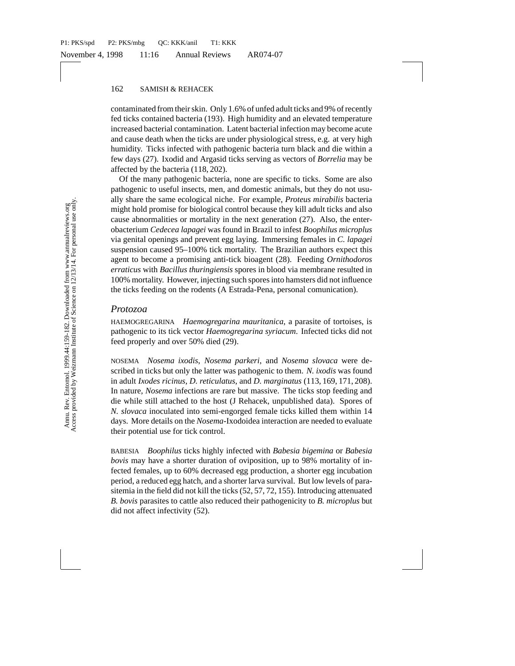contaminated from their skin. Only 1.6% of unfed adult ticks and 9% of recently fed ticks contained bacteria (193). High humidity and an elevated temperature increased bacterial contamination. Latent bacterial infection may become acute and cause death when the ticks are under physiological stress, e.g. at very high humidity. Ticks infected with pathogenic bacteria turn black and die within a few days (27). Ixodid and Argasid ticks serving as vectors of *Borrelia* may be affected by the bacteria (118, 202).

Of the many pathogenic bacteria, none are specific to ticks. Some are also pathogenic to useful insects, men, and domestic animals, but they do not usually share the same ecological niche. For example, *Proteus mirabilis* bacteria might hold promise for biological control because they kill adult ticks and also cause abnormalities or mortality in the next generation (27). Also, the enterobacterium *Cedecea lapagei* was found in Brazil to infest *Boophilus microplus* via genital openings and prevent egg laying. Immersing females in *C. lapagei* suspension caused 95–100% tick mortality. The Brazilian authors expect this agent to become a promising anti-tick bioagent (28). Feeding *Ornithodoros erraticus* with *Bacillus thuringiensis* spores in blood via membrane resulted in 100% mortality. However, injecting such spores into hamsters did not influence the ticks feeding on the rodents (A Estrada-Pena, personal comunication).

## *Protozoa*

HAEMOGREGARINA *Haemogregarina mauritanica*, a parasite of tortoises, is pathogenic to its tick vector *Haemogregarina syriacum*. Infected ticks did not feed properly and over 50% died (29).

NOSEMA *Nosema ixodis*, *Nosema parkeri*, and *Nosema slovaca* were described in ticks but only the latter was pathogenic to them. *N. ixodis* was found in adult *Ixodes ricinus*, *D. reticulatus*, and *D. marginatus* (113, 169, 171, 208). In nature, *Nosema* infections are rare but massive. The ticks stop feeding and die while still attached to the host (J Rehacek, unpublished data). Spores of *N. slovaca* inoculated into semi-engorged female ticks killed them within 14 days. More details on the *Nosema*-Ixodoidea interaction are needed to evaluate their potential use for tick control.

BABESIA *Boophilus* ticks highly infected with *Babesia bigemina* or *Babesia bovis* may have a shorter duration of oviposition, up to 98% mortality of infected females, up to 60% decreased egg production, a shorter egg incubation period, a reduced egg hatch, and a shorter larva survival. But low levels of parasitemia in the field did not kill the ticks (52, 57, 72, 155). Introducing attenuated *B. bovis* parasites to cattle also reduced their pathogenicity to *B. microplus* but did not affect infectivity (52).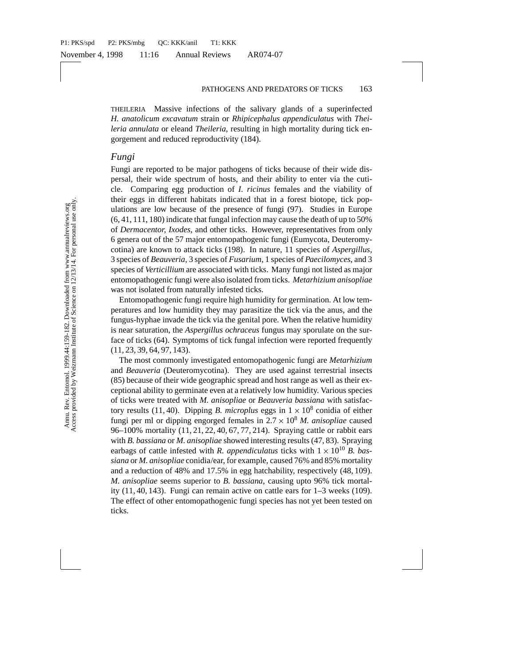THEILERIA Massive infections of the salivary glands of a superinfected *H. anatolicum excavatum* strain or *Rhipicephalus appendiculatus* with *Theileria annulata* or eleand *Theileria*, resulting in high mortality during tick engorgement and reduced reproductivity (184).

## *Fungi*

Fungi are reported to be major pathogens of ticks because of their wide dispersal, their wide spectrum of hosts, and their ability to enter via the cuticle. Comparing egg production of *I. ricinus* females and the viability of their eggs in different habitats indicated that in a forest biotope, tick populations are low because of the presence of fungi (97). Studies in Europe (6, 41, 111, 180) indicate that fungal infection may cause the death of up to 50% of *Dermacentor, Ixodes*, and other ticks. However, representatives from only 6 genera out of the 57 major entomopathogenic fungi (Eumycota, Deuteromycotina) are known to attack ticks (198). In nature, 11 species of *Aspergillus*, 3 species of *Beauveria*, 3 species of *Fusarium*, 1 species of *Paecilomyces*, and 3 species of *Verticillium* are associated with ticks. Many fungi not listed as major entomopathogenic fungi were also isolated from ticks. *Metarhizium anisopliae* was not isolated from naturally infested ticks.

Entomopathogenic fungi require high humidity for germination. At low temperatures and low humidity they may parasitize the tick via the anus, and the fungus-hyphae invade the tick via the genital pore. When the relative humidity is near saturation, the *Aspergillus ochraceus* fungus may sporulate on the surface of ticks (64). Symptoms of tick fungal infection were reported frequently (11, 23, 39, 64, 97, 143).

The most commonly investigated entomopathogenic fungi are *Metarhizium* and *Beauveria* (Deuteromycotina). They are used against terrestrial insects (85) because of their wide geographic spread and host range as well as their exceptional ability to germinate even at a relatively low humidity. Various species of ticks were treated with *M. anisopliae* or *Beauveria bassiana* with satisfactory results (11, 40). Dipping *B. microplus* eggs in  $1 \times 10^8$  conidia of either fungi per ml or dipping engorged females in  $2.7 \times 10^8$  *M. anisopliae* caused 96–100% mortality (11, 21, 22, 40, 67, 77, 214). Spraying cattle or rabbit ears with *B. bassiana* or *M. anisopliae* showed interesting results (47, 83). Spraying earbags of cattle infested with *R. appendiculatus* ticks with  $1 \times 10^{10}$  *B. bassiana* or *M. anisopliae* conidia/ear, for example, caused 76% and 85% mortality and a reduction of 48% and 17.5% in egg hatchability, respectively (48, 109). *M. anisopliae* seems superior to *B. bassiana*, causing upto 96% tick mortality (11, 40, 143). Fungi can remain active on cattle ears for 1–3 weeks (109). The effect of other entomopathogenic fungi species has not yet been tested on ticks.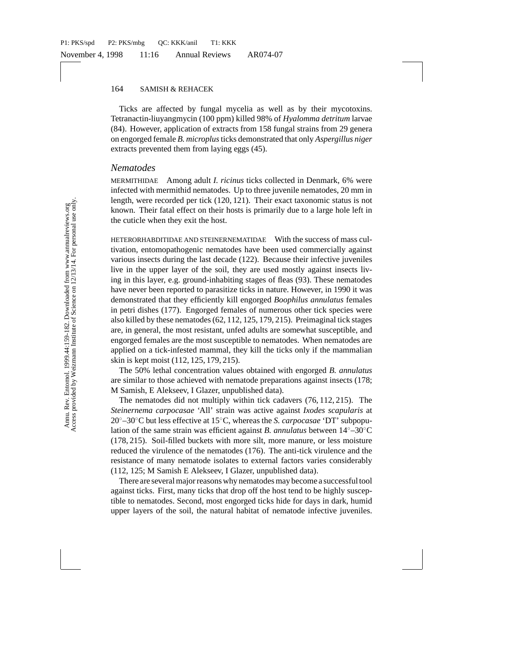Ticks are affected by fungal mycelia as well as by their mycotoxins. Tetranactin-liuyangmycin (100 ppm) killed 98% of *Hyalomma detritum* larvae (84). However, application of extracts from 158 fungal strains from 29 genera on engorged female *B. microplus*ticks demonstrated that only *Aspergillus niger* extracts prevented them from laying eggs (45).

#### *Nematodes*

MERMITHIDAE Among adult *I. ricinus* ticks collected in Denmark, 6% were infected with mermithid nematodes. Up to three juvenile nematodes, 20 mm in length, were recorded per tick (120, 121). Their exact taxonomic status is not known. Their fatal effect on their hosts is primarily due to a large hole left in the cuticle when they exit the host.

HETERORHABDITIDAE AND STEINERNEMATIDAE With the success of mass cultivation, entomopathogenic nematodes have been used commercially against various insects during the last decade (122). Because their infective juveniles live in the upper layer of the soil, they are used mostly against insects living in this layer, e.g. ground-inhabiting stages of fleas (93). These nematodes have never been reported to parasitize ticks in nature. However, in 1990 it was demonstrated that they efficiently kill engorged *Boophilus annulatus* females in petri dishes (177). Engorged females of numerous other tick species were also killed by these nematodes (62, 112, 125, 179, 215). Preimaginal tick stages are, in general, the most resistant, unfed adults are somewhat susceptible, and engorged females are the most susceptible to nematodes. When nematodes are applied on a tick-infested mammal, they kill the ticks only if the mammalian skin is kept moist (112, 125, 179, 215).

The 50% lethal concentration values obtained with engorged *B. annulatus* are similar to those achieved with nematode preparations against insects (178; M Samish, E Alekseev, I Glazer, unpublished data).

The nematodes did not multiply within tick cadavers (76, 112, 215). The *Steinernema carpocasae* 'All' strain was active against *Ixodes scapularis* at 20◦–30◦C but less effective at 15◦C, whereas the *S. carpocasae* 'DT' subpopulation of the same strain was efficient against *B. annulatus* between 14◦–30◦C (178, 215). Soil-filled buckets with more silt, more manure, or less moisture reduced the virulence of the nematodes (176). The anti-tick virulence and the resistance of many nematode isolates to external factors varies considerably (112, 125; M Samish E Alekseev, I Glazer, unpublished data).

There are several major reasons why nematodes may become a successful tool against ticks. First, many ticks that drop off the host tend to be highly susceptible to nematodes. Second, most engorged ticks hide for days in dark, humid upper layers of the soil, the natural habitat of nematode infective juveniles.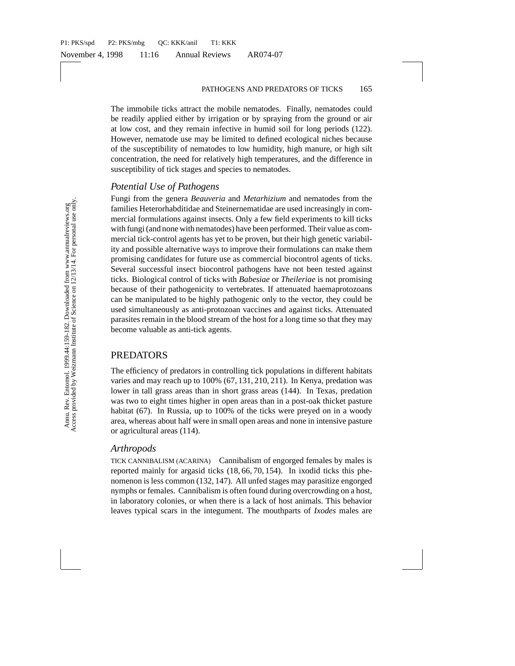The immobile ticks attract the mobile nematodes. Finally, nematodes could be readily applied either by irrigation or by spraying from the ground or air at low cost, and they remain infective in humid soil for long periods (122). However, nematode use may be limited to defined ecological niches because of the susceptibility of nematodes to low humidity, high manure, or high silt concentration, the need for relatively high temperatures, and the difference in susceptibility of tick stages and species to nematodes.

# *Potential Use of Pathogens*

Fungi from the genera *Beauveria* and *Metarhizium* and nematodes from the families Heterorhabditidae and Steinernematidae are used increasingly in commercial formulations against insects. Only a few field experiments to kill ticks with fungi (and none with nematodes) have been performed. Their value as commercial tick-control agents has yet to be proven, but their high genetic variability and possible alternative ways to improve their formulations can make them promising candidates for future use as commercial biocontrol agents of ticks. Several successful insect biocontrol pathogens have not been tested against ticks. Biological control of ticks with *Babesiae* or *Theileriae* is not promising because of their pathogenicity to vertebrates. If attenuated haemaprotozoans can be manipulated to be highly pathogenic only to the vector, they could be used simultaneously as anti-protozoan vaccines and against ticks. Attenuated parasites remain in the blood stream of the host for a long time so that they may become valuable as anti-tick agents.

## PREDATORS

The efficiency of predators in controlling tick populations in different habitats varies and may reach up to 100% (67, 131, 210, 211). In Kenya, predation was lower in tall grass areas than in short grass areas (144). In Texas, predation was two to eight times higher in open areas than in a post-oak thicket pasture habitat (67). In Russia, up to 100% of the ticks were preyed on in a woody area, whereas about half were in small open areas and none in intensive pasture or agricultural areas (114).

#### *Arthropods*

TICK CANNIBALISM (ACARINA) Cannibalism of engorged females by males is reported mainly for argasid ticks (18, 66, 70, 154). In ixodid ticks this phenomenon is less common (132, 147). All unfed stages may parasitize engorged nymphs or females. Cannibalism is often found during overcrowding on a host, in laboratory colonies, or when there is a lack of host animals. This behavior leaves typical scars in the integument. The mouthparts of *Ixodes* males are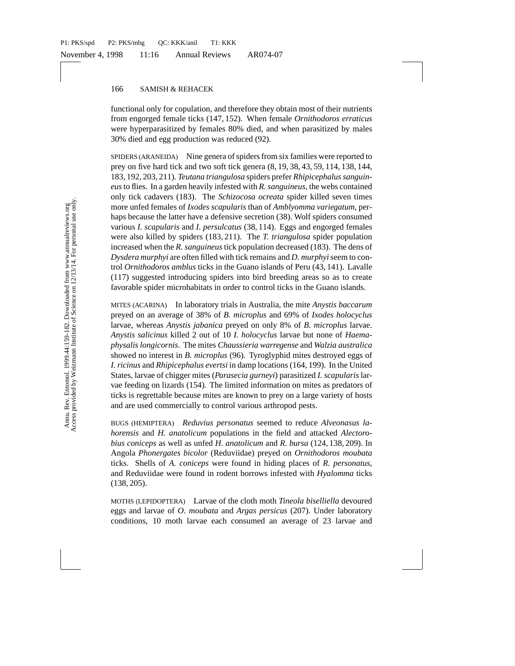functional only for copulation, and therefore they obtain most of their nutrients from engorged female ticks (147, 152). When female *Ornithodoros erraticus* were hyperparasitized by females 80% died, and when parasitized by males 30% died and egg production was reduced (92).

SPIDERS (ARANEIDA) Nine genera of spiders from six families were reported to prey on five hard tick and two soft tick genera (8, 19, 38, 43, 59, 114, 138, 144, 183, 192, 203, 211). *Teutana triangulosa* spiders prefer *Rhipicephalus sanguineus*to flies. In a garden heavily infested with *R. sanguineus*, the webs contained only tick cadavers (183). The *Schizocosa ocreata* spider killed seven times more unfed females of *Ixodes scapularis* than of *Amblyomma variegatum*, perhaps because the latter have a defensive secretion (38). Wolf spiders consumed various *I. scapularis* and *I. persulcatus* (38, 114). Eggs and engorged females were also killed by spiders (183, 211). The *T. triangulosa* spider population increased when the *R. sanguineus* tick population decreased (183). The dens of *Dysdera murphyi* are often filled with tick remains and *D. murphyi*seem to control *Ornithodoros amblus* ticks in the Guano islands of Peru (43, 141). Lavalle (117) suggested introducing spiders into bird breeding areas so as to create favorable spider microhabitats in order to control ticks in the Guano islands.

MITES (ACARINA) In laboratory trials in Australia, the mite *Anystis baccarum* preyed on an average of 38% of *B. microplus* and 69% of *Ixodes holocyclus* larvae, whereas *Anystis jabanica* preyed on only 8% of *B. microplus* larvae. *Anystis salicinus* killed 2 out of 10 *I. holocyclus* larvae but none of *Haemaphysalis longicornis*. The mites *Chaussieria warregense* and *Walzia australica* showed no interest in *B. microplus* (96). Tyroglyphid mites destroyed eggs of *I. ricinus* and *Rhipicephalus evertsi* in damp locations (164, 199). In the United States, larvae of chigger mites (*Parasecia gurneyi*) parasitized *I. scapularis* larvae feeding on lizards (154). The limited information on mites as predators of ticks is regrettable because mites are known to prey on a large variety of hosts and are used commercially to control various arthropod pests.

BUGS (HEMIPTERA) *Reduvius personatus* seemed to reduce *Alveonasus lahorensis* and *H. anatolicum* populations in the field and attacked *Alectorobius coniceps* as well as unfed *H. anatolicum* and *R. bursa* (124, 138, 209). In Angola *Phonergates bicolor* (Reduviidae) preyed on *Ornithodoros moubata* ticks. Shells of *A. coniceps* were found in hiding places of *R. personatus*, and Reduviidae were found in rodent borrows infested with *Hyalomma* ticks (138, 205).

MOTHS (LEPIDOPTERA) Larvae of the cloth moth *Tineola biselliella* devoured eggs and larvae of *O. moubata* and *Argas persicus* (207). Under laboratory conditions, 10 moth larvae each consumed an average of 23 larvae and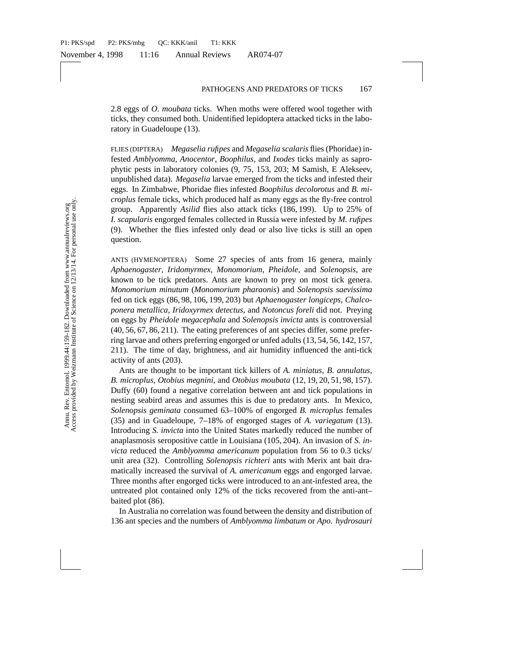2.8 eggs of *O. moubata* ticks. When moths were offered wool together with ticks, they consumed both. Unidentified lepidoptera attacked ticks in the laboratory in Guadeloupe (13).

FLIES (DIPTERA) *Megaselia rufipes* and *Megaselia scalaris* flies (Phoridae) infested *Amblyomma*, *Anocentor*, *Boophilus*, and *Ixodes* ticks mainly as saprophytic pests in laboratory colonies (9, 75, 153, 203; M Samish, E Alekseev, unpublished data). *Megaselia* larvae emerged from the ticks and infested their eggs. In Zimbabwe, Phoridae flies infested *Boophilus decolorotus* and *B. microplus* female ticks, which produced half as many eggs as the fly-free control group. Apparently *Asilid* flies also attack ticks (186, 199). Up to 25% of *I. scapularis* engorged females collected in Russia were infested by *M. rufipes* (9). Whether the flies infested only dead or also live ticks is still an open question.

ANTS (HYMENOPTERA) Some 27 species of ants from 16 genera, mainly *Aphaenogaster*, *Iridomyrmex*, *Monomorium*, *Pheidole*, and *Solenopsis*, are known to be tick predators. Ants are known to prey on most tick genera. *Monomorium minutum* (*Monomorium pharaonis*) and *Solenopsis saevissima* fed on tick eggs (86, 98, 106, 199, 203) but *Aphaenogaster longiceps*, *Chalcoponera metallica*, *Iridoxyrmex detectus*, and *Notoncus foreli* did not. Preying on eggs by *Pheidole megacephala* and *Solenopsis invicta* ants is controversial (40, 56, 67, 86, 211). The eating preferences of ant species differ, some preferring larvae and others preferring engorged or unfed adults (13, 54, 56, 142, 157, 211). The time of day, brightness, and air humidity influenced the anti-tick activity of ants (203).

Ants are thought to be important tick killers of *A. miniatus*, *B. annulatus*, *B. microplus*, *Otobius megnini*, and *Otobius moubata* (12, 19, 20, 51, 98, 157). Duffy (60) found a negative correlation between ant and tick populations in nesting seabird areas and assumes this is due to predatory ants. In Mexico, *Solenopsis geminata* consumed 63–100% of engorged *B. microplus* females (35) and in Guadeloupe, 7–18% of engorged stages of *A. variegatum* (13). Introducing *S. invicta* into the United States markedly reduced the number of anaplasmosis seropositive cattle in Louisiana (105, 204). An invasion of *S. invicta* reduced the *Amblyomma americanum* population from 56 to 0.3 ticks/ unit area (32). Controlling *Solenopsis richteri* ants with Merix ant bait dramatically increased the survival of *A. americanum* eggs and engorged larvae. Three months after engorged ticks were introduced to an ant-infested area, the untreated plot contained only 12% of the ticks recovered from the anti-ant– baited plot (86).

In Australia no correlation was found between the density and distribution of 136 ant species and the numbers of *Amblyomma limbatum* or *Apo. hydrosauri*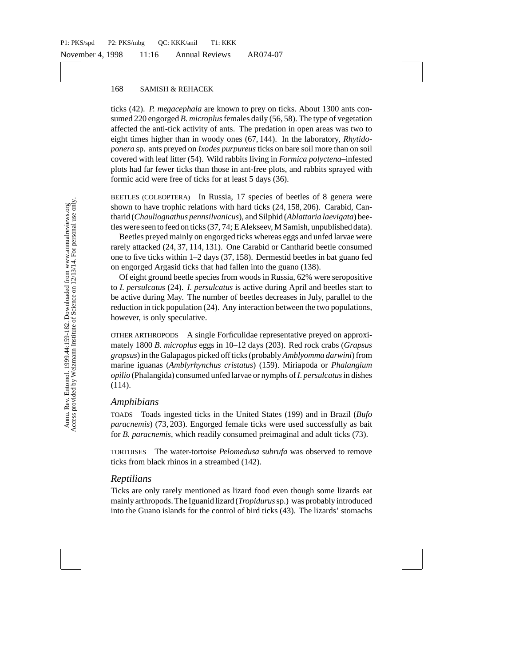ticks (42). *P. megacephala* are known to prey on ticks. About 1300 ants consumed 220 engorged *B. microplus*females daily (56, 58). The type of vegetation affected the anti-tick activity of ants. The predation in open areas was two to eight times higher than in woody ones (67, 144). In the laboratory, *Rhytidoponera* sp. ants preyed on *Ixodes purpureus* ticks on bare soil more than on soil covered with leaf litter (54). Wild rabbits living in *Formica polyctena*–infested plots had far fewer ticks than those in ant-free plots, and rabbits sprayed with formic acid were free of ticks for at least 5 days (36).

BEETLES (COLEOPTERA) In Russia, 17 species of beetles of 8 genera were shown to have trophic relations with hard ticks (24, 158, 206). Carabid, Cantharid (*Chauliognathus pennsilvanicus*), and Silphid (*Ablattaria laevigata*) beetles were seen to feed on ticks (37, 74; E Alekseev, M Samish, unpublished data).

Beetles preyed mainly on engorged ticks whereas eggs and unfed larvae were rarely attacked (24, 37, 114, 131). One Carabid or Cantharid beetle consumed one to five ticks within 1–2 days (37, 158). Dermestid beetles in bat guano fed on engorged Argasid ticks that had fallen into the guano (138).

Of eight ground beetle species from woods in Russia, 62% were seropositive to *I. persulcatus* (24). *I. persulcatus* is active during April and beetles start to be active during May. The number of beetles decreases in July, parallel to the reduction in tick population (24). Any interaction between the two populations, however, is only speculative.

OTHER ARTHROPODS A single Forficulidae representative preyed on approximately 1800 *B. microplus* eggs in 10–12 days (203). Red rock crabs (*Grapsus grapsus*) in the Galapagos picked off ticks (probably *Amblyomma darwini*) from marine iguanas (*Amblyrhynchus cristatus*) (159). Miriapoda or *Phalangium opilio* (Phalangida) consumed unfed larvae or nymphs of*I. persulcatus*in dishes (114).

#### *Amphibians*

TOADS Toads ingested ticks in the United States (199) and in Brazil (*Bufo paracnemis*) (73, 203). Engorged female ticks were used successfully as bait for *B. paracnemis*, which readily consumed preimaginal and adult ticks (73).

TORTOISES The water-tortoise *Pelomedusa subrufa* was observed to remove ticks from black rhinos in a streambed (142).

# *Reptilians*

Ticks are only rarely mentioned as lizard food even though some lizards eat mainly arthropods. The Iguanid lizard (*Tropidurus*sp.) was probably introduced into the Guano islands for the control of bird ticks (43). The lizards' stomachs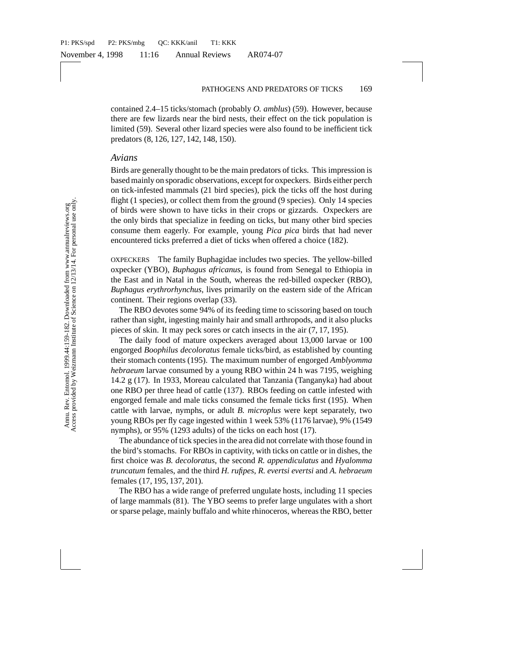contained 2.4–15 ticks/stomach (probably *O. amblus*) (59). However, because there are few lizards near the bird nests, their effect on the tick population is limited (59). Several other lizard species were also found to be inefficient tick predators (8, 126, 127, 142, 148, 150).

#### *Avians*

Birds are generally thought to be the main predators of ticks. This impression is based mainly on sporadic observations, except for oxpeckers. Birds either perch on tick-infested mammals (21 bird species), pick the ticks off the host during flight (1 species), or collect them from the ground (9 species). Only 14 species of birds were shown to have ticks in their crops or gizzards. Oxpeckers are the only birds that specialize in feeding on ticks, but many other bird species consume them eagerly. For example, young *Pica pica* birds that had never encountered ticks preferred a diet of ticks when offered a choice (182).

OXPECKERS The family Buphagidae includes two species. The yellow-billed oxpecker (YBO), *Buphagus africanus*, is found from Senegal to Ethiopia in the East and in Natal in the South, whereas the red-billed oxpecker (RBO), *Buphagus erythrorhynchus*, lives primarily on the eastern side of the African continent. Their regions overlap (33).

The RBO devotes some 94% of its feeding time to scissoring based on touch rather than sight, ingesting mainly hair and small arthropods, and it also plucks pieces of skin. It may peck sores or catch insects in the air (7, 17, 195).

The daily food of mature oxpeckers averaged about 13,000 larvae or 100 engorged *Boophilus decoloratus* female ticks/bird, as established by counting their stomach contents (195). The maximum number of engorged *Amblyomma hebraeum* larvae consumed by a young RBO within 24 h was 7195, weighing 14.2 g (17). In 1933, Moreau calculated that Tanzania (Tanganyka) had about one RBO per three head of cattle (137). RBOs feeding on cattle infested with engorged female and male ticks consumed the female ticks first (195). When cattle with larvae, nymphs, or adult *B. microplus* were kept separately, two young RBOs per fly cage ingested within 1 week 53% (1176 larvae), 9% (1549 nymphs), or 95% (1293 adults) of the ticks on each host (17).

The abundance of tick species in the area did not correlate with those found in the bird's stomachs. For RBOs in captivity, with ticks on cattle or in dishes, the first choice was *B. decoloratus*, the second *R. appendiculatus* and *Hyalomma truncatum* females, and the third *H. rufipes*, *R. evertsi evertsi* and *A. hebraeum* females (17, 195, 137, 201).

The RBO has a wide range of preferred ungulate hosts, including 11 species of large mammals (81). The YBO seems to prefer large ungulates with a short or sparse pelage, mainly buffalo and white rhinoceros, whereas the RBO, better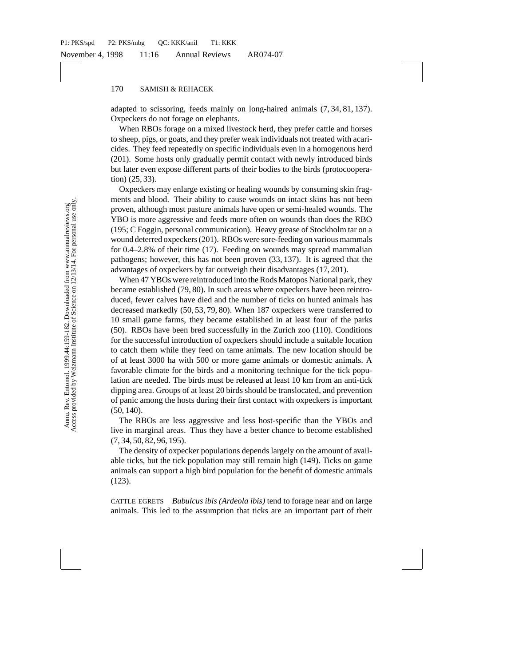adapted to scissoring, feeds mainly on long-haired animals (7, 34, 81, 137). Oxpeckers do not forage on elephants.

When RBOs forage on a mixed livestock herd, they prefer cattle and horses to sheep, pigs, or goats, and they prefer weak individuals not treated with acaricides. They feed repeatedly on specific individuals even in a homogenous herd (201). Some hosts only gradually permit contact with newly introduced birds but later even expose different parts of their bodies to the birds (protocooperation) (25, 33).

Oxpeckers may enlarge existing or healing wounds by consuming skin fragments and blood. Their ability to cause wounds on intact skins has not been proven, although most pasture animals have open or semi-healed wounds. The YBO is more aggressive and feeds more often on wounds than does the RBO (195; C Foggin, personal communication). Heavy grease of Stockholm tar on a wound deterred oxpeckers (201). RBOs were sore-feeding on various mammals for 0.4–2.8% of their time (17). Feeding on wounds may spread mammalian pathogens; however, this has not been proven (33, 137). It is agreed that the advantages of oxpeckers by far outweigh their disadvantages (17, 201).

When 47 YBOs were reintroduced into the Rods Matopos National park, they became established (79, 80). In such areas where oxpeckers have been reintroduced, fewer calves have died and the number of ticks on hunted animals has decreased markedly (50, 53, 79, 80). When 187 oxpeckers were transferred to 10 small game farms, they became established in at least four of the parks (50). RBOs have been bred successfully in the Zurich zoo (110). Conditions for the successful introduction of oxpeckers should include a suitable location to catch them while they feed on tame animals. The new location should be of at least 3000 ha with 500 or more game animals or domestic animals. A favorable climate for the birds and a monitoring technique for the tick population are needed. The birds must be released at least 10 km from an anti-tick dipping area. Groups of at least 20 birds should be translocated, and prevention of panic among the hosts during their first contact with oxpeckers is important (50, 140).

The RBOs are less aggressive and less host-specific than the YBOs and live in marginal areas. Thus they have a better chance to become established (7, 34, 50, 82, 96, 195).

The density of oxpecker populations depends largely on the amount of available ticks, but the tick population may still remain high (149). Ticks on game animals can support a high bird population for the benefit of domestic animals (123).

CATTLE EGRETS *Bubulcus ibis (Ardeola ibis)* tend to forage near and on large animals. This led to the assumption that ticks are an important part of their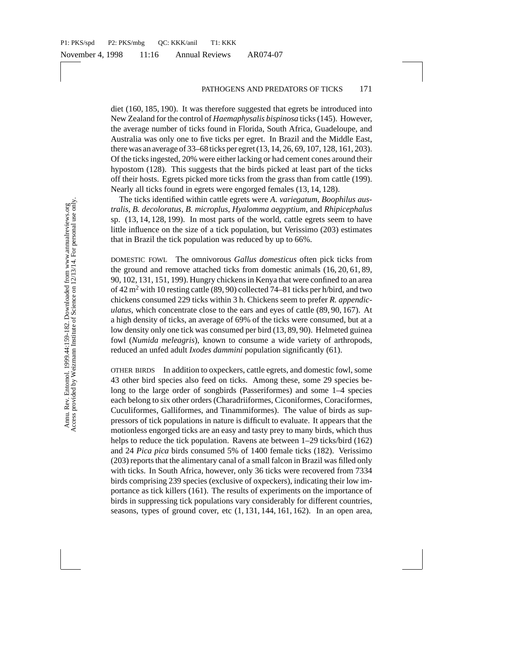diet (160, 185, 190). It was therefore suggested that egrets be introduced into New Zealand for the control of *Haemaphysalis bispinosa* ticks (145). However, the average number of ticks found in Florida, South Africa, Guadeloupe, and Australia was only one to five ticks per egret. In Brazil and the Middle East, there was an average of 33–68 ticks per egret (13, 14, 26, 69, 107, 128, 161, 203). Of the ticks ingested, 20% were either lacking or had cement cones around their hypostom (128). This suggests that the birds picked at least part of the ticks off their hosts. Egrets picked more ticks from the grass than from cattle (199). Nearly all ticks found in egrets were engorged females (13, 14, 128).

The ticks identified within cattle egrets were *A. variegatum*, *Boophilus australis*, *B. decoloratus*, *B. microplus*, *Hyalomma aegyptium*, and *Rhipicephalus* sp. (13, 14, 128, 199). In most parts of the world, cattle egrets seem to have little influence on the size of a tick population, but Verissimo (203) estimates that in Brazil the tick population was reduced by up to 66%.

DOMESTIC FOWL The omnivorous *Gallus domesticus* often pick ticks from the ground and remove attached ticks from domestic animals (16, 20, 61, 89, 90, 102, 131, 151, 199). Hungry chickens in Kenya that were confined to an area of  $42 \text{ m}^2$  with 10 resting cattle (89, 90) collected 74–81 ticks per h/bird, and two chickens consumed 229 ticks within 3 h. Chickens seem to prefer *R. appendiculatus*, which concentrate close to the ears and eyes of cattle (89, 90, 167). At a high density of ticks, an average of 69% of the ticks were consumed, but at a low density only one tick was consumed per bird (13, 89, 90). Helmeted guinea fowl (*Numida meleagris*), known to consume a wide variety of arthropods, reduced an unfed adult *Ixodes dammini* population significantly (61).

OTHER BIRDS In addition to oxpeckers, cattle egrets, and domestic fowl, some 43 other bird species also feed on ticks. Among these, some 29 species belong to the large order of songbirds (Passeriformes) and some 1–4 species each belong to six other orders (Charadriiformes, Ciconiformes, Coraciformes, Cuculiformes, Galliformes, and Tinammiformes). The value of birds as suppressors of tick populations in nature is difficult to evaluate. It appears that the motionless engorged ticks are an easy and tasty prey to many birds, which thus helps to reduce the tick population. Ravens ate between 1–29 ticks/bird (162) and 24 *Pica pica* birds consumed 5% of 1400 female ticks (182). Verissimo (203) reports that the alimentary canal of a small falcon in Brazil was filled only with ticks. In South Africa, however, only 36 ticks were recovered from 7334 birds comprising 239 species (exclusive of oxpeckers), indicating their low importance as tick killers (161). The results of experiments on the importance of birds in suppressing tick populations vary considerably for different countries, seasons, types of ground cover, etc  $(1, 131, 144, 161, 162)$ . In an open area,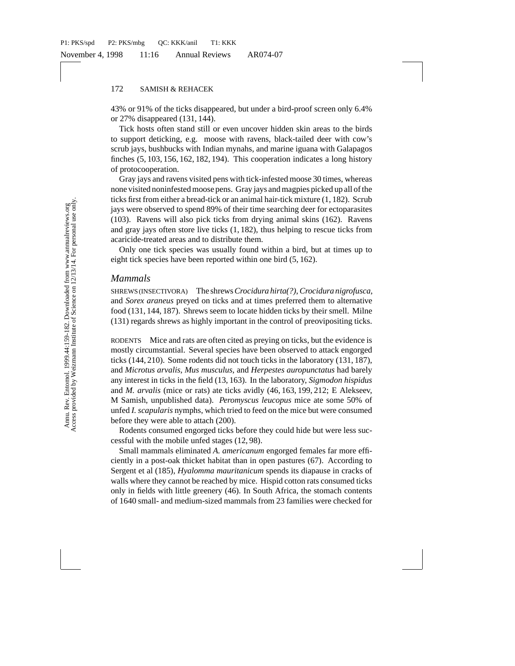43% or 91% of the ticks disappeared, but under a bird-proof screen only 6.4% or 27% disappeared (131, 144).

Tick hosts often stand still or even uncover hidden skin areas to the birds to support deticking, e.g. moose with ravens, black-tailed deer with cow's scrub jays, bushbucks with Indian mynahs, and marine iguana with Galapagos finches (5, 103, 156, 162, 182, 194). This cooperation indicates a long history of protocooperation.

Gray jays and ravens visited pens with tick-infested moose 30 times, whereas none visited noninfested moose pens. Gray jays and magpies picked up all of the ticks first from either a bread-tick or an animal hair-tick mixture (1, 182). Scrub jays were observed to spend 89% of their time searching deer for ectoparasites (103). Ravens will also pick ticks from drying animal skins (162). Ravens and gray jays often store live ticks (1, 182), thus helping to rescue ticks from acaricide-treated areas and to distribute them.

Only one tick species was usually found within a bird, but at times up to eight tick species have been reported within one bird (5, 162).

#### *Mammals*

SHREWS (INSECTIVORA) The shrews*Crocidura hirta(?)*,*Crocidura nigrofusca*, and *Sorex araneus* preyed on ticks and at times preferred them to alternative food (131, 144, 187). Shrews seem to locate hidden ticks by their smell. Milne (131) regards shrews as highly important in the control of preovipositing ticks.

RODENTS Mice and rats are often cited as preying on ticks, but the evidence is mostly circumstantial. Several species have been observed to attack engorged ticks (144, 210). Some rodents did not touch ticks in the laboratory (131, 187), and *Microtus arvalis*, *Mus musculus*, and *Herpestes auropunctatus* had barely any interest in ticks in the field (13, 163). In the laboratory, *Sigmodon hispidus* and *M. arvalis* (mice or rats) ate ticks avidly (46, 163, 199, 212; E Alekseev, M Samish, unpublished data). *Peromyscus leucopus* mice ate some 50% of unfed *I. scapularis* nymphs, which tried to feed on the mice but were consumed before they were able to attach (200).

Rodents consumed engorged ticks before they could hide but were less successful with the mobile unfed stages (12, 98).

Small mammals eliminated *A. americanum* engorged females far more efficiently in a post-oak thicket habitat than in open pastures (67). According to Sergent et al (185), *Hyalomma mauritanicum* spends its diapause in cracks of walls where they cannot be reached by mice. Hispid cotton rats consumed ticks only in fields with little greenery (46). In South Africa, the stomach contents of 1640 small- and medium-sized mammals from 23 families were checked for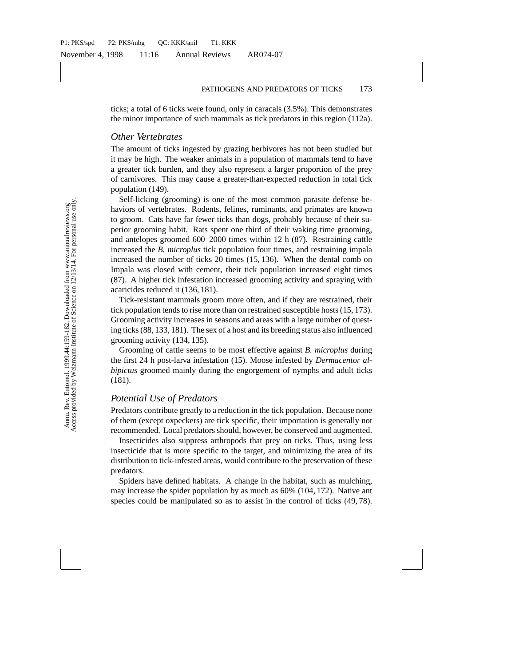ticks; a total of 6 ticks were found, only in caracals (3.5%). This demonstrates the minor importance of such mammals as tick predators in this region (112a).

#### *Other Vertebrates*

The amount of ticks ingested by grazing herbivores has not been studied but it may be high. The weaker animals in a population of mammals tend to have a greater tick burden, and they also represent a larger proportion of the prey of carnivores. This may cause a greater-than-expected reduction in total tick population (149).

Self-licking (grooming) is one of the most common parasite defense behaviors of vertebrates. Rodents, felines, ruminants, and primates are known to groom. Cats have far fewer ticks than dogs, probably because of their superior grooming habit. Rats spent one third of their waking time grooming, and antelopes groomed 600–2000 times within 12 h (87). Restraining cattle increased the *B. microplus* tick population four times, and restraining impala increased the number of ticks 20 times (15, 136). When the dental comb on Impala was closed with cement, their tick population increased eight times (87). A higher tick infestation increased grooming activity and spraying with acaricides reduced it (136, 181).

Tick-resistant mammals groom more often, and if they are restrained, their tick population tends to rise more than on restrained susceptible hosts (15, 173). Grooming activity increases in seasons and areas with a large number of questing ticks (88, 133, 181). The sex of a host and its breeding status also influenced grooming activity (134, 135).

Grooming of cattle seems to be most effective against *B. microplus* during the first 24 h post-larva infestation (15). Moose infested by *Dermacentor albipictus* groomed mainly during the engorgement of nymphs and adult ticks (181).

# *Potential Use of Predators*

Predators contribute greatly to a reduction in the tick population. Because none of them (except oxpeckers) are tick specific, their importation is generally not recommended. Local predators should, however, be conserved and augmented.

Insecticides also suppress arthropods that prey on ticks. Thus, using less insecticide that is more specific to the target, and minimizing the area of its distribution to tick-infested areas, would contribute to the preservation of these predators.

Spiders have defined habitats. A change in the habitat, such as mulching, may increase the spider population by as much as 60% (104, 172). Native ant species could be manipulated so as to assist in the control of ticks (49, 78).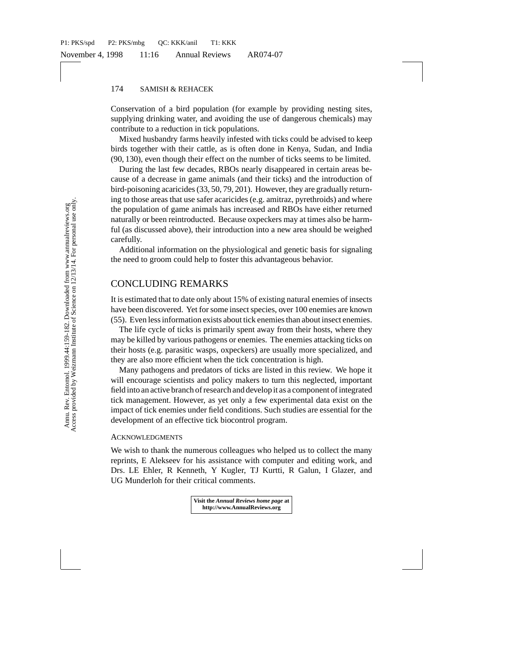Conservation of a bird population (for example by providing nesting sites, supplying drinking water, and avoiding the use of dangerous chemicals) may contribute to a reduction in tick populations.

Mixed husbandry farms heavily infested with ticks could be advised to keep birds together with their cattle, as is often done in Kenya, Sudan, and India (90, 130), even though their effect on the number of ticks seems to be limited.

During the last few decades, RBOs nearly disappeared in certain areas because of a decrease in game animals (and their ticks) and the introduction of bird-poisoning acaricides (33, 50, 79, 201). However, they are gradually returning to those areas that use safer acaricides (e.g. amitraz, pyrethroids) and where the population of game animals has increased and RBOs have either returned naturally or been reintroducted. Because oxpeckers may at times also be harmful (as discussed above), their introduction into a new area should be weighed carefully.

Additional information on the physiological and genetic basis for signaling the need to groom could help to foster this advantageous behavior.

## CONCLUDING REMARKS

It is estimated that to date only about 15% of existing natural enemies of insects have been discovered. Yet for some insect species, over 100 enemies are known (55). Even less information exists about tick enemies than about insect enemies.

The life cycle of ticks is primarily spent away from their hosts, where they may be killed by various pathogens or enemies. The enemies attacking ticks on their hosts (e.g. parasitic wasps, oxpeckers) are usually more specialized, and they are also more efficient when the tick concentration is high.

Many pathogens and predators of ticks are listed in this review. We hope it will encourage scientists and policy makers to turn this neglected, important field into an active branch of research and develop it as a component of integrated tick management. However, as yet only a few experimental data exist on the impact of tick enemies under field conditions. Such studies are essential for the development of an effective tick biocontrol program.

#### ACKNOWLEDGMENTS

We wish to thank the numerous colleagues who helped us to collect the many reprints, E Alekseev for his assistance with computer and editing work, and Drs. LE Ehler, R Kenneth, Y Kugler, TJ Kurtti, R Galun, I Glazer, and UG Munderloh for their critical comments.

> **Visit the** *Annual Reviews home page* **at http://www.AnnualReviews.org**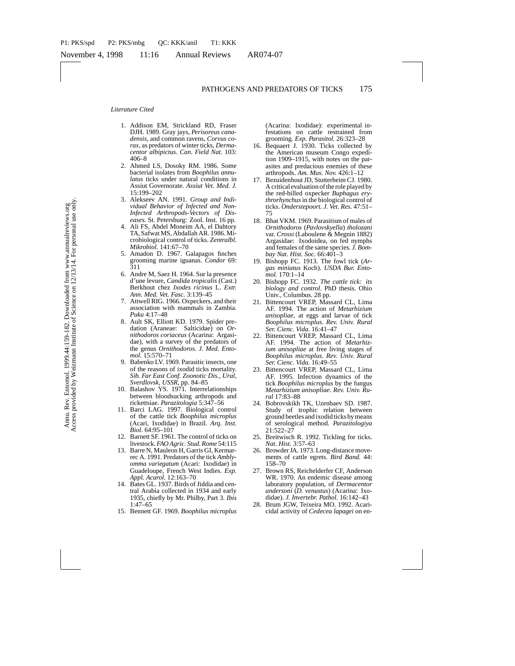#### *Literature Cited*

- 1. Addison EM, Strickland RD, Fraser DJH. 1989. Gray jays, *Perisoreus canadensis*, and common ravens, *Corvus corax*, as predators of winter ticks, *Dermacentor albipictus*. *Can. Field Nat.* 103: 406–8
- 2. Ahmed LS, Dosoky RM. 1986. Some bacterial isolates from *Boophilus annulatus* ticks under natural conditions in Assiut Governorate. *Assiut Vet. Med. J.* 15:199–202
- 3. Alekseev AN. 1991. *Group and Individual Behavior of Infected and Non-Infected Arthropods-Vectors of Diseases.* St. Petersburg: Zool. Inst. 16 pp.
- 4. Ali FS, Abdel Moneim AA, el Dahtory TA, Safwat MS, Abdallah AR. 1986. Microbiological control of ticks. *Zentralbl. Mikrobiol.* 141:67–70
- 5. Amadon D. 1967. Galapagos finches grooming marine iguanas. *Condor* 69: 311
- 6. Andre M, Saez H. 1964. Sur la presence d'une levure, *Candida tropicalis* (Cast.) Berkhout chez *Ixodes ricinus* L. *Extr. Ann. Med. Vet. Fasc.* 3:139–45
- 7. Attwell RIG. 1966. Oxpeckers, and their association with mammals in Zambia. *Puku* 4:17–48
- 8. Ault SK, Elliott KD. 1979. Spider predation (Araneae: Salticidae) on *Ornithodoros coriaceus* (Acarina: Argasidae), with a survey of the predators of the genus *Ornithodoros*. *J. Med. Entomol.* 15:570–71
- 9. Babenko LV. 1969. Parasitic insects, one of the reasons of ixodid ticks mortality. *Sib. Far East Conf. Zoonotic Dis., Ural, Sverdlovsk, USSR,* pp. 84–85
- 10. Balashov YS. 1971. Interrelationships between bloodsucking arthropods and rickettsiae. *Parazitologia* 5:347–56
- 11. Barci LAG. 1997. Biological control of the cattle tick *Boophilus microplus* (Acari, Ixodidae) in Brazil. *Arq. Inst. Biol.* 64:95–101
- 12. Barnett SF. 1961. The control of ticks on livestock.*FAO Agric. Stud. Rome* 54:115
- 13. Barre N, Mauleon H, Garris GI, Kermarrec A. 1991. Predators of the tick *Amblyomma variegatum* (Acari: Ixodidae) in Guadeloupe, French West Indies. *Exp. Appl. Acarol.* 12:163–70
- 14. Bates GL. 1937. Birds of Jiddia and central Arabia collected in 1934 and early 1935, chiefly by Mr. Philby, Part 3. *Ibis* 1:47–65
- 15. Bennett GF. 1969. *Boophilus microplus*

(Acarina: Ixodidae): experimental infestations on cattle restrained from grooming. *Exp. Parasitol.* 26:323–28

- 16. Bequaert J. 1930. Ticks collected by the American museum Congo expedition 1909–1915, with notes on the parasites and predacious enemies of these arthropods. *Am. Mus. Nov.* 426:1–12
- 17. Bezuidenhout JD, Stutterheim CJ. 1980. A critical evaluation of the role played by the red-billed oxpecker *Buphagus erythrorhynchus*in the biological control of ticks. *Onderstepoort. J. Vet. Res.* 47:51– 75
- 18. Bhat VKM. 1969. Parasitism of males of *Ornithodoros* (*Pavlovskyella*) *tholozani* var. *Crossi* (Laboulene & Megnin 1882) Argasidae: Ixodoidea, on fed nymphs and females of the same species. *J. Bombay Nat. Hist. Soc.* 66:401–3
- 19. Bishopp FC. 1913. The fowl tick (*Argas miniatus* Koch). *USDA Bur. Entomol.* 170:1–14
- 20. Bishopp FC. 1932. *The cattle tick: its biology and control*. PhD thesis. Ohio Univ., Columbus. 28 pp.
- 21. Bittencourt VREP, Massard CL, Lima AF. 1994. The action of *Metarhizium anisopliae*, at eggs and larvae of tick *Boophilus microplus*. *Rev. Univ. Rural Ser. Cienc. Vida.* 16:41–47
- 22. Bittencourt VREP, Massard CL, Lima AF. 1994. The action of *Metarhizium anisopliae* at free living stages of *Boophilus microplus*. *Rev. Univ. Rural Ser. Cienc. Vida.* 16:49–55
- 23. Bittencourt VREP, Massard CL, Lima AF. 1995. Infection dynamics of the tick *Boophilus microplus* by the fungus *Metarhizium anisopliae*. *Rev. Univ. Rural* 17:83–88
- 24. Bobrovskikh TK, Uzenbaev SD. 1987. Study of trophic relation between ground beetles and ixodid ticks by means of serological method. *Parazitologiya* 21:522–27
- 25. Breitwisch R. 1992. Tickling for ticks. *Nat. Hist.* 3:57–63
- 26. Browder JA. 1973. Long-distance movements of cattle egrets. *Bird Band.* 44: 158–70
- 27. Brown RS, Reichelderfer CF, Anderson WR. 1970. An endemic disease among laboratory population, of *Dermacentor andersoni* (*D. venustus*) (Acarina: Ixodidae). *J. Invertebr. Pathol.* 16:142–43
- 28. Brum JGW, Teixeira MO. 1992. Acaricidal activity of *Cedecea lapagei* on en-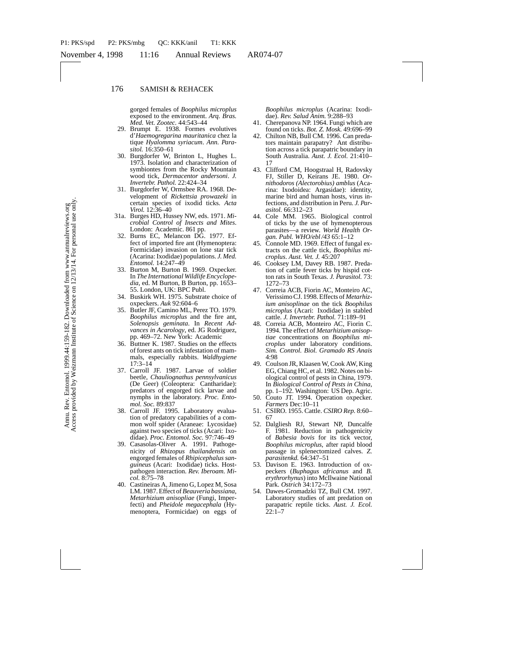gorged females of *Boophilus microplus* exposed to the environment. *Arq. Bras. Med. Vet. Zootec.* 44:543–44

- 29. Brumpt E. 1938. Formes evolutives d'*Haemogregarina mauritanica* chez la tique *Hyalomma syriacum*. *Ann. Parasitol.* 16:350–61
- 30. Burgdorfer W, Brinton L, Hughes L. 1973. Isolation and characterization of symbiontes from the Rocky Mountain wood tick, *Dermacentor andersoni*. *J. Invertebr. Pathol.* 22:424–34
- 31. Burgdorfer W, Ormsbee RA. 1968. Development of *Rickettsia prowazeki* in certain species of ixodid ticks. *Acta Virol.* 12:36–40
- 31a. Burges HD, Hussey NW, eds. 1971. *Microbial Control of Insects and Mites*. London: Academic. 861 pp.
- 32. Burns EC, Melancon DG. 1977. Effect of imported fire ant (Hymenoptera: Formicidae) invasion on lone star tick (Acarina: Ixodidae) populations. *J. Med. Entomol.* 14:247–49
- 33. Burton M, Burton B. 1969. Oxpecker. In *The International Wildlife Encyclopedia*, ed. M Burton, B Burton, pp. 1653– 55. London, UK: BPC Publ.
- 34. Buskirk WH. 1975. Substrate choice of oxpeckers. *Auk* 92:604–6
- 35. Butler JF, Camino ML, Perez TO. 1979. *Boophilus microplus* and the fire ant, *Solenopsis geminata*. In *Recent Advances in Acarology*, ed. JG Rodriguez, pp. 469–72. New York: Academic
- 36. Buttner K. 1987. Studies on the effects of forest ants on tick infestation of mammals, especially rabbits. *Waldhygiene* 17:3–14
- 37. Carroll JF. 1987. Larvae of soldier beetle, *Chauliognathus pennsylvanicus* (De Geer) (Coleoptera: Cantharidae): predators of engorged tick larvae and nymphs in the laboratory. *Proc. Entomol. Soc.* 89:837
- 38. Carroll JF. 1995. Laboratory evaluation of predatory capabilities of a common wolf spider (Araneae: Lycosidae) against two species of ticks (Acari: Ixodidae). *Proc. Entomol. Soc.* 97:746–49
- 39. Casasolas-Oliver A. 1991. Pathogenicity of *Rhizopus thailandensis* on engorged females of *Rhipicephalus sanguineus* (Acari: Ixodidae) ticks. Hostpathogen interaction. *Rev. Iberoam. Micol.* 8:75–78
- 40. Castineiras A, Jimeno G, Lopez M, Sosa LM. 1987. Effect of*Beauveria bassiana*, *Metarhizium anisopliae* (Fungi, Imperfecti) and *Pheidole megacephala* (Hymenoptera, Formicidae) on eggs of

*Boophilus microplus* (Acarina: Ixodidae). *Rev. Salud Anim.* 9:288–93

- 41. Cherepanova NP. 1964. Fungi which are found on ticks. *Bot. Z. Mosk.* 49:696–99
- 42. Chilton NB, Bull CM. 1996. Can predators maintain parapatry? Ant distribution across a tick parapatric boundary in South Australia. *Aust. J. Ecol.* 21:410– 17
- 43. Clifford CM, Hoogstraal H, Radovsky FJ, Stiller D, Keirans JE. 1980. *Ornithodoros (Alectorobius) amblus* (Acarina: Ixodoidea: Argasidae): identity, marine bird and human hosts, virus infections, and distribution in Peru. *J. Parasitol.* 66:312–23
- 44. Cole MM. 1965. Biological control of ticks by the use of hymenopterous parasites—a review. *World Health Organ. Publ. WHO/ebl /43* 65:1–12
- 45. Connole MD. 1969. Effect of fungal extracts on the cattle tick, *Boophilus microplus*. *Aust. Vet. J.* 45:207
- 46. Cooksey LM, Davey RB. 1987. Predation of cattle fever ticks by hispid cotton rats in South Texas. *J. Parasitol.* 73: 1272–73
- 47. Correia ACB, Fiorin AC, Monteiro AC, Verissimo CJ. 1998. Effects of *Metarhizium anisoplinae* on the tick *Boophilus microplus* (Acari: Ixodidae) in stabled cattle. *J. Invertebr. Pathol.* 71:189–91
- 48. Correia ACB, Monteiro AC, Fiorin C. 1994. The effect of *Metarhizium anisoptiae* concentrations on *Boophilus microplus* under laboratory conditions. *Sim. Control. Biol. Gramado RS Anais* 4:98
- 49. Coulson JR, Klaasen W, Cook AW, King EG, Chiang HC, et al. 1982. Notes on biological control of pests in China, 1979. In *Biological Control of Pests in China*,
- pp. 1–192. Washington: US Dep. Agric. 50. Couto JT. 1994. Operation oxpecker. *Farmers* Dec:10–11
- 51. CSIRO. 1955. Cattle. *CSIRO Rep.* 8:60– 67
- 52. Dalgliesh RJ, Stewart NP, Duncalfe F. 1981. Reduction in pathogenicity of *Babesia bovis* for its tick vector, *Boophilus microplus*, after rapid blood passage in splenectomized calves. *Z. parasitenkd.* 64:347–51
- 53. Davison E. 1963. Introduction of oxpeckers (*Buphagus africanus* and *B. erythrorhynus*) into McIlwaine National Park. *Ostrich* 34:172–73
- 54. Dawes-Gromadzki TZ, Bull CM. 1997. Laboratory studies of ant predation on parapatric reptile ticks. *Aust. J. Ecol.* 22:1–7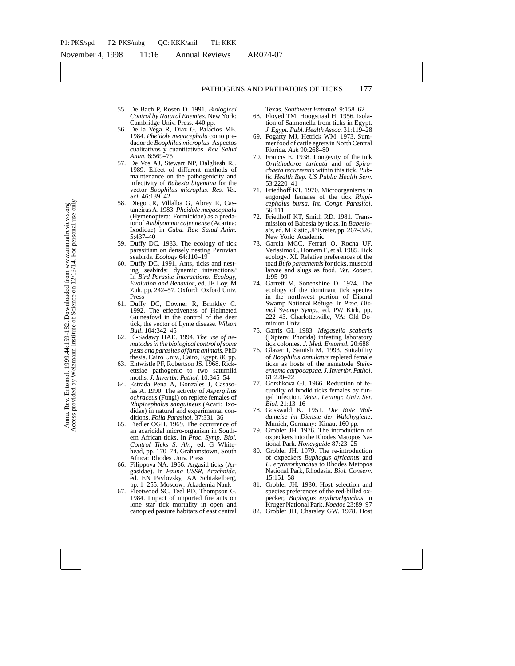- 55. De Bach P, Rosen D. 1991. *Biological Control by Natural Enemies*. New York: Cambridge Univ. Press. 440 pp.
- 56. De la Vega R, Diaz G, Palacios ME. 1984. *Pheidole megacephala* como predador de *Boophilus microplus*. Aspectos cualitativos y cuantitativos. *Rev. Salud Anim.* 6:569–75
- 57. De Vos AJ, Stewart NP, Dalgliesh RJ. 1989. Effect of different methods of maintenance on the pathogenicity and infectivity of *Babesia bigemina* for the vector *Boophilus microplus*. *Res. Vet. Sci.* 46:139–42
- 58. Diego JR, Villalba G, Abrey R, Castaneiras A. 1983. *Pheidole megacephala* (Hymenoptera: Formicidae) as a predator of *Amblyomma cajennense* (Acarina: Ixodidae) in *Cuba. Rev. Salud Anim.* 5:437–40
- 59. Duffy DC. 1983. The ecology of tick parasitism on densely nesting Peruvian seabirds. *Ecology* 64:110–19
- 60. Duffy DC. 1991. Ants, ticks and nesting seabirds: dynamic interactions? In *Bird-Parasite Interactions: Ecology, Evolution and Behavior*, ed. JE Loy, M Zuk, pp. 242–57. Oxford: Oxford Univ. Press
- 61. Duffy DC, Downer R, Brinkley C. 1992. The effectiveness of Helmeted Guineafowl in the control of the deer tick, the vector of Lyme disease. *Wilson Bull.* 104:342–45
- 62. El-Sadawy HAE. 1994. *The use of nematodes in the biological control of some pests and parasites of farm animals*. PhD thesis. Cairo Univ., Cairo, Egypt. 86 pp.
- 63. Entwistle PF, Robertson JS. 1968. Rickettsiae pathogenic to two saturniid moths. *J. Invertbr. Pathol.* 10:345–54
- 64. Estrada Pena A, Gonzales J, Casasolas A. 1990. The activity of *Aspergillus ochraceus* (Fungi) on replete females of *Rhipicephalus sanguineus* (Acari: Ixodidae) in natural and experimental conditions. *Folia Parasitol.* 37:331–36
- 65. Fiedler OGH. 1969. The occurrence of an acaricidal micro-organism in Southern African ticks. In *Proc. Symp. Biol. Control Ticks S. Afr.*, ed. G Whitehead, pp. 170–74. Grahamstown, South Africa: Rhodes Univ. Press
- 66. Filippova NA. 1966. Argasid ticks (Argasidae). In *Fauna USSR, Arachnida*, ed. EN Pavlovsky, AA Schtakelberg, pp. 1–255. Moscow: Akademia Nauk
- 67. Fleetwood SC, Teel PD, Thompson G. 1984. Impact of imported fire ants on lone star tick mortality in open and canopied pasture habitats of east central

Texas. *Southwest Entomol.* 9:158–62

- 68. Floyed TM, Hoogstraal H. 1956. Isolation of Salmonella from ticks in Egypt. *J. Egypt. Publ. Health Assoc.* 31:119–28
- 69. Fogarty MJ, Hetrick WM. 1973. Summer food of cattle egrets in North Central Florida. *Auk* 90:268–80
- 70. Francis E. 1938. Longevity of the tick *Ornithodoros turicata* and of *Spirochaeta recurrentis* within this tick. *Public Health Rep. US Public Health Serv.* 53:2220–41
- 71. Friedhoff KT. 1970. Microorganisms in engorged females of the tick *Rhipicephalus bursa*. *Int. Congr. Parasitol.* 56:111
- 72. Friedhoff KT, Smith RD. 1981. Transmission of Babesia by ticks. In *Babesiosis*, ed. M Ristic, JP Kreier, pp. 267–326. New York: Academic
- 73. Garcia MCC, Ferrari O, Rocha UF, Verissimo C, Homem E, et al. 1985. Tick ecology. XI. Relative preferences of the toad *Bufo paracnemis*for ticks, muscoid larvae and slugs as food. *Vet. Zootec.* 1:95–99
- 74. Garrett M, Sonenshine D. 1974. The ecology of the dominant tick species in the northwest portion of Dismal Swamp National Refuge. In *Proc. Dismal Swamp Symp.*, ed. PW Kirk, pp. 222–43. Charlottesville, VA: Old Dominion Univ.
- 75. Garris GI. 1983. *Megaselia scabaris* (Diptera: Phorida) infesting laboratory tick colonies. *J. Med. Entomol.* 20:688
- 76. Glazer I, Samish M. 1993. Suitability of *Boophilus annulatus* repleted female ticks as hosts of the nematode *Steinernema carpocapsae*. *J. Invertbr. Pathol.* 61:220–22
- 77. Gorshkova GJ. 1966. Reduction of fecundity of ixodid ticks females by fungal infection. *Vetsn. Leningr. Univ. Ser. Biol.* 21:13–16
- 78. Gosswald K. 1951. *Die Rote Waldameise im Dienste der Waldhygiene*. Munich, Germany: Kinau. 160 pp.
- 79. Grobler JH. 1976. The introduction of oxpeckers into the Rhodes Matopos National Park. *Honeyguide* 87:23–25
- 80. Grobler JH. 1979. The re-introduction of oxpeckers *Buphagus africanus* and *B. erythrorhynchus* to Rhodes Matopos National Park, Rhodesia. *Biol. Conserv.* 15:151–58
- 81. Grobler JH. 1980. Host selection and species preferences of the red-billed oxpecker, *Buphagus erythrorhynchus* in Kruger National Park. *Koedoe* 23:89–97
- 82. Grobler JH, Charsley GW. 1978. Host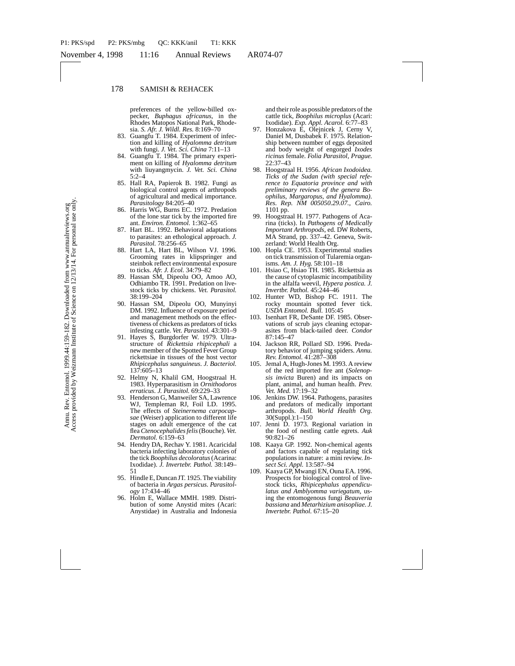preferences of the yellow-billed oxpecker, *Buphagus africanus*, in the Rhodes Matopos National Park, Rhodesia. *S. Afr. J. Wildl. Res.* 8:169–70

- 83. Guangfu T. 1984. Experiment of infection and killing of *Hyalomma detritum* with fungi. *J. Vet. Sci. China* 7:11–13
- 84. Guangfu T. 1984. The primary experiment on killing of *Hyalomma detritum* with liuyangmycin. *J. Vet. Sci. China* 5:2–4
- 85. Hall RA, Papierok B. 1982. Fungi as biological control agents of arthropods of agricultural and medical importance. *Parasitology* 84:205–40
- 86. Harris WG, Burns EC. 1972. Predation of the lone star tick by the imported fire ant. *Environ. Entomol.* 1:362–65
- 87. Hart BL. 1992. Behavioral adaptations to parasites: an ethological approach. *J. Parasitol.* 78:256–65
- 88. Hart LA, Hart BL, Wilson VJ. 1996. Grooming rates in klipspringer and steinbok reflect environmental exposure to ticks. *Afr. J. Ecol.* 34:79–82
- 89. Hassan SM, Dipeolu OO, Amoo AO, Odhiambo TR. 1991. Predation on livestock ticks by chickens. *Vet. Parasitol.* 38:199–204
- 90. Hassan SM, Dipeolu OO, Munyinyi DM. 1992. Influence of exposure period and management methods on the effectiveness of chickens as predators of ticks infesting cattle. *Vet. Parasitol.* 43:301–9
- 91. Hayes S, Burgdorfer W. 1979. Ultrastructure of *Rickettsia rhipicephali* a new member of the Spotted Fever Group rickettsiae in tissues of the host vector *Rhipicephalus sanguineus*. *J. Bacteriol.* 137:605–13
- 92. Helmy N, Khalil GM, Hoogstraal H. 1983. Hyperparasitism in *Ornithodoros erraticus*. *J. Parasitol.* 69:229–33
- 93. Henderson G, Manweiler SA, Lawrence WJ, Templeman RJ, Foil LD. 1995. The effects of *Steinernema carpocapsae* (Weiser) application to different life stages on adult emergence of the cat flea *Ctenocephalides felis*(Bouche). *Vet. Dermatol.* 6:159–63
- 94. Hendry DA, Rechav Y. 1981. Acaricidal bacteria infecting laboratory colonies of the tick *Boophilus decoloratus*(Acarina: Ixodidae). *J. Invertebr. Pathol.* 38:149– 51
- 95. Hindle E, Duncan JT. 1925. The viability of bacteria in *Argas persicus*. *Parasitology* 17:434–46
- 96. Holm E, Wallace MMH. 1989. Distribution of some Anystid mites (Acari: Anystidae) in Australia and Indonesia

and their role as possible predators of the cattle tick, *Boophilus microplus* (Acari: Ixodidae). *Exp. Appl. Acarol.* 6:77–83

- 97. Honzakova E, Olejnicek J, Cerny V, Daniel M, Dusbabek F. 1975. Relationship between number of eggs deposited and body weight of engorged *Ixodes ricinus* female. *Folia Parasitol, Prague.* 22:37–43
- 98. Hoogstraal H. 1956. *African Ixodoidea. Ticks of the Sudan (with special reference to Equatoria province and with preliminary reviews of the genera Boophilus, Margaropus, and Hyalomma). Res. Rep. NM 005050.29.07., Cairo.* 1101 pp.
- 99. Hoogstraal H. 1977. Pathogens of Acarina (ticks). In *Pathogens of Medically Important Arthropods*, ed. DW Roberts, MA Strand, pp. 337–42. Geneva, Switzerland: World Health Org.
- 100. Hopla CE. 1953. Experimental studies on tick transmission of Tularemia organisms. *Am. J. Hyg.* 58:101–18
- 101. Hsiao C, Hsiao TH. 1985. Rickettsia as the cause of cytoplasmic incompatibility in the alfalfa weevil, *Hypera postica. J. Invertbr. Pathol.* 45:244–46
- 102. Hunter WD, Bishop FC. 1911. The rocky mountain spotted fever tick. *USDA Entomol. Bull.* 105:45
- 103. Isenhart FR, DeSante DF. 1985. Observations of scrub jays cleaning ectoparasites from black-tailed deer. *Condor* 87:145–47
- 104. Jackson RR, Pollard SD. 1996. Predatory behavior of jumping spiders. *Annu. Rev. Entomol.* 41:287–308
- 105. Jemal A, Hugh-Jones M. 1993. A review of the red imported fire ant (*Solenopsis invicta* Buren) and its impacts on plant, animal, and human health. *Prev. Vet. Med.* 17:19–32
- 106. Jenkins DW. 1964. Pathogens, parasites and predators of medically important arthropods. *Bull. World Health Org.* 30(Suppl.):1–150
- 107. Jenni D. 1973. Regional variation in the food of nestling cattle egrets. *Auk* 90:821–26
- 108. Kaaya GP. 1992. Non-chemical agents and factors capable of regulating tick populations in nature: a mini review. *Insect Sci. Appl.* 13:587–94
- 109. Kaaya GP, Mwangi EN, Ouna EA. 1996. Prospects for biological control of livestock ticks, *Rhipicephalus appendiculatus and Amblyomma variegatum*, using the entomogenous fungi *Beauveria bassiana* and *Metarhizium anisopliae*. *J. Invertebr. Pathol.* 67:15–20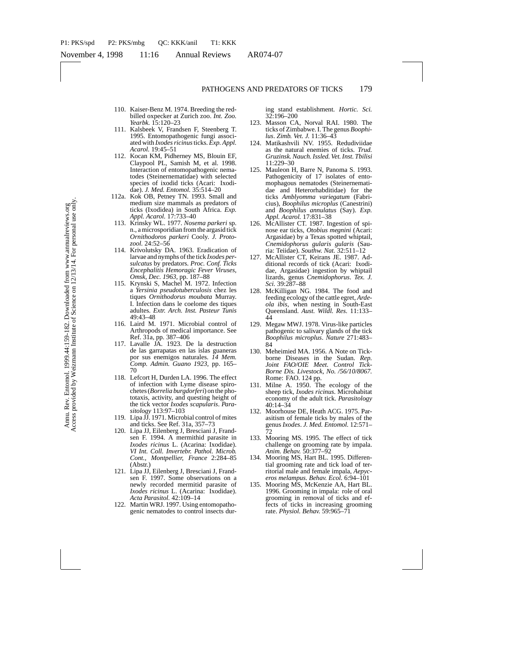- 110. Kaiser-Benz M. 1974. Breeding the redbilled oxpecker at Zurich zoo. *Int. Zoo. Yearbk.* 15:120–23
- 111. Kalsbeek V, Frandsen F, Steenberg T. 1995. Entomopathogenic fungi associated with *Ixodes ricinus*ticks. *Exp. Appl. Acarol.* 19:45–51
- 112. Kocan KM, Pidherney MS, Blouin EF Claypool PL, Samish M, et al. 1998. Interaction of entomopathogenic nematodes (Steinernematidae) with selected species of ixodid ticks (Acari: Ixodidae). *J. Med. Entomol.* 35:514–20
- 112a. Kok OB, Petney TN. 1993. Small and medium size mammals as predators of ticks (Ixodidea) in South Africa. *Exp. Appl. Acarol.* 17:733–40
- 113. Krinsky WL. 1977. *Nosema parkeri* sp. n., a microsporidian from the argasid tick *Ornithodoros parkeri* Cooly. *J. Protozool.* 24:52–56
- 114. Krivolutsky DA. 1963. Eradication of larvae and nymphs of the tick *Ixodes persulcatus* by predators. *Proc. Conf. Ticks Encephalitis Hemoragic Fever Viruses, Omsk, Dec. 1963,* pp. 187–88
- 115. Krynski S, Machel M. 1972. Infection a *Yersinia pseudotuberculosis* chez les tiques *Ornithodorus moubata* Murray. I. Infection dans le coelome des tiques adultes. *Extr. Arch. Inst. Pasteur Tunis* 49:43–48
- 116. Laird M. 1971. Microbial control of Arthropods of medical importance. See Ref. 31a, pp. 387–406
- 117. Lavalle JA. 1923. De la destruction de las garrapatas en las islas guaneras por sus enemigos naturales. *14 Mem. Comp. Admin. Guano 1923,* pp. 165– 70
- 118. Lefcort H, Durden LA. 1996. The effect of infection with Lyme disease spirochetes (*Borrelia burgdorferi*) on the phototaxis, activity, and questing height of the tick vector *Ixodes scapularis*. *Parasitology* 113:97–103
- 119. Lipa JJ. 1971. Microbial control of mites and ticks. See Ref. 31a, 357–73
- 120. Lipa JJ, Eilenberg J, Bresciani J, Frandsen F. 1994. A mermithid parasite in *Ixodes ricinus* L. (Acarina: Ixodidae). *VI Int. Coll. Invertebr. Pathol. Microb. Cont., Montpellier, France* 2:284–85 (Abstr.)
- 121. Lipa JJ, Eilenberg J, Bresciani J, Frandsen F. 1997. Some observations on a newly recorded mermitid parasite of *Ixodes ricinus* L. (Acarina: Ixodidae). *Acta Parasitol.* 42:109–14
- 122. Martin WRJ. 1997. Using entomopathogenic nematodes to control insects dur-

ing stand establishment. *Hortic. Sci.* 32:196–200

- 123. Masson CA, Norval RAI. 1980. The ticks of Zimbabwe. I. The genus *Boophilus*. *Zimb. Vet. J.* 11:36–43
- 124. Matikashvili NV. 1955. Redudiviidae as the natural enemies of ticks. *Trud. Gruzinsk. Nauch. Issled. Vet. Inst. Tbilisi* 11:229–30
- 125. Mauleon H, Barre N, Panoma S. 1993. Pathogenicity of 17 isolates of entomophagous nematodes (Steinernematidae and Heterorhabditidae) for the ticks *Amblyomma variegatum* (Fabricius), *Boophilus microplus* (Canestrini) and *Boophilus annulatus* (Say). *Exp. Appl. Acarol.* 17:831–38
- 126. McAllister CT. 1987. Ingestion of spinose ear ticks, *Otobius megnini* (Acari: Argasidae) by a Texas spotted whiptail, *Cnemidophorus gularis gularis* (Sauria: Teiidae). *Southw. Nat.* 32:511–12
- 127. McAllister CT, Keirans JE. 1987. Additional records of tick (Acari: Ixodidae, Argasidae) ingestion by whiptail lizards, genus *Cnemidophorus*. *Tex. J. Sci.* 39:287–88
- 128. McKilligan NG. 1984. The food and feeding ecology of the cattle egret, *Ardeola ibis*, when nesting in South-East Queensland. *Aust. Wildl. Res.* 11:133– 44
- 129. Megaw MWJ. 1978. Virus-like particles pathogenic to salivary glands of the tick *Boophilus microplus*. *Nature* 271:483– 84
- 130. Meheimied MA. 1956. A Note on Tickborne Diseases in the Sudan. *Rep. Joint FAO/OIE Meet. Control Tick-Borne Dis. Livestock, No. /56/10/8067.* Rome: FAO. 124 pp.
- 131. Milne A. 1950. The ecology of the sheep tick, *Ixodes ricinus*. Microhabitat economy of the adult tick. *Parasitology* 40:14–34
- 132. Moorhouse DE, Heath ACG. 1975. Parasitism of female ticks by males of the genus *Ixodes*. *J. Med. Entomol.* 12:571– 72
- 133. Mooring MS. 1995. The effect of tick challenge on grooming rate by impala. *Anim. Behav.* 50:377–92
- 134. Mooring MS, Hart BL. 1995. Differential grooming rate and tick load of territorial male and female impala, *Aepyceros melampus*. *Behav. Ecol.* 6:94–101
- 135. Mooring MS, McKenzie AA, Hart BL. 1996. Grooming in impala: role of oral grooming in removal of ticks and effects of ticks in increasing grooming rate. *Physiol. Behav.* 59:965–71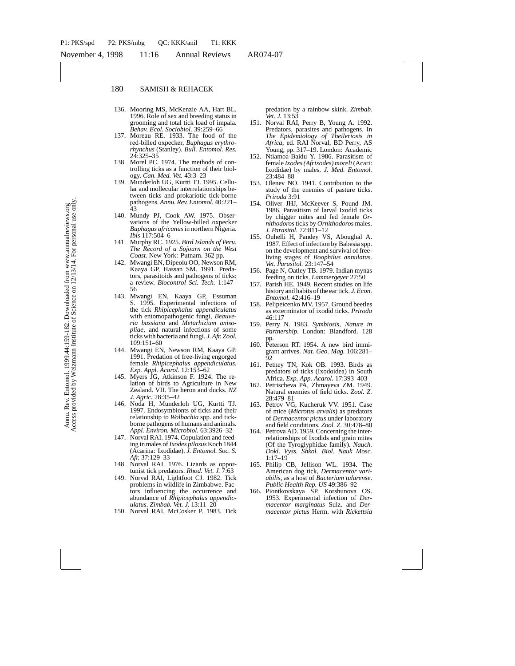- 136. Mooring MS, McKenzie AA, Hart BL. 1996. Role of sex and breeding status in grooming and total tick load of impala. *Behav. Ecol. Sociobiol.* 39:259–66
- 137. Moreau RE. 1933. The food of the red-billed oxpecker, *Buphagus erythrorhynchus* (Stanley). *Bull. Entomol. Res.* 24:325–35
- 138. Morel PC. 1974. The methods of controlling ticks as a function of their biology. *Can. Med. Vet.* 43:3–23
- 139. Munderloh UG, Kurtti TJ. 1995. Cellular and mollecular interrelationships between ticks and prokariotic tick-borne pathogens. *Annu. Rev. Entomol.* 40:221–  $43$
- 140. Mundy PJ, Cook AW. 1975. Observations of the Yellow-billed oxpecker *Buphagus africanus*in northern Nigeria. *Ibis* 117:504–6
- 141. Murphy RC. 1925. *Bird Islands of Peru*. *The Record of a Sojourn on the West Coast.* New York: Putnam. 362 pp.
- 142. Mwangi EN, Dipeolu OO, Newson RM, Kaaya GP, Hassan SM. 1991. Predators, parasitoids and pathogens of ticks: a review. *Biocontrol Sci. Tech.* 1:147– 56
- 143. Mwangi EN, Kaaya GP, Essuman S. 1995. Experimental infections of the tick *Rhipicephalus appendiculatus* with entomopathogenic fungi, *Beauveria bassiana* and *Metarhizium anisopliae*, and natural infections of some ticks with bacteria and fungi. *J. Afr. Zool.* 109:151–60
- 144. Mwangi EN, Newson RM, Kaaya GP. 1991. Predation of free-living engorged female *Rhipicephalus appendiculatus*. *Exp. Appl. Acarol.* 12:153–62
- 145. Myers JG, Atkinson F. 1924. The relation of birds to Agriculture in New Zealand. VII. The heron and ducks. *NZ J. Agric.* 28:35–42
- 146. Noda H, Munderloh UG, Kurtti TJ. 1997. Endosymbionts of ticks and their relationship to *Wolbachia* spp. and tickborne pathogens of humans and animals. *Appl. Environ. Microbiol.* 63:3926–32
- 147. Norval RAI. 1974. Copulation and feeding in males of*Ixodes pilosus* Koch 1844 (Acarina: Ixodidae). *J. Entomol. Soc. S. Afr.* 37:129–33
- 148. Norval RAI. 1976. Lizards as opportunist tick predators. *Rhod. Vet. J.* 7:63
- 149. Norval RAI, Lightfoot CJ. 1982. Tick problems in wildlife in Zimbabwe. Factors influencing the occurrence and abundance of *Rhipicephalus appendiculatus*. *Zimbab. Vet. J.* 13:11–20
- 150. Norval RAI, McCosker P. 1983. Tick

predation by a rainbow skink. *Zimbab. Vet. J.* 13:53

- 151. Norval RAI, Perry B, Young A. 1992. Predators, parasites and pathogens. In *The Epidemiology of Theileriosis in Africa*, ed. RAI Norval, BD Perry, AS Young, pp. 317–19. London: Academic
- 152. Ntiamoa-Baidu Y. 1986. Parasitism of female *Ixodes (Afrixodes) moreli*(Acari: Ixodidae) by males. *J. Med. Entomol.* 23:484–88
- 153. Olenev NO. 1941. Contribution to the study of the enemies of pasture ticks. *Priroda* 3:91
- 154. Oliver JHJ, McKeever S, Pound JM. 1986. Parasitism of larval Ixodid ticks by chigger mites and fed female *Ornithodoros*ticks by *Ornithodoros* males. *J. Parasitol.* 72:811–12
- 155. Ouhelli H, Pandey VS, Aboughal A. 1987. Effect of infection by Babesia spp. on the development and survival of freeliving stages of *Boophilus annulatus*. *Vet. Parasitol.* 23:147–54
- 156. Page N, Oatley TB. 1979. Indian mynas feeding on ticks. *Lammergeyer* 27:50
- 157. Parish HE. 1949. Recent studies on life history and habits of the ear tick. *J. Econ. Entomol.* 42:416–19
- 158. Pelipeicenko MV. 1957. Ground beetles as exterminator of ixodid ticks. *Priroda* 46:117
- 159. Perry N. 1983. *Symbiosis, Nature in Partnership*. London: Blandford. 128 pp.
- 160. Peterson RT. 1954. A new bird immigrant arrives. *Nat. Geo. Mag.* 106:281–  $\overline{9}2$
- 161. Petney TN, Kok OB. 1993. Birds as predators of ticks (Ixodoidea) in South Africa. *Exp. App. Acarol.* 17:393–403
- 162. Petrischeva PA, Zhmayeva ZM. 1949. Natural enemies of field ticks. *Zool. Z.* 28:479–81
- 163. Petrov VG, Kucheruk VV. 1951. Case of mice (*Microtus arvalis*) as predators of *Dermacentor pictus* under laboratory and field conditions. *Zool. Z.* 30:478–80
- 164. Petrova AD. 1959. Concerning the interrelationships of Ixodids and grain mites (Of the Tyroglyphidae family). *Nauch. Dokl. Vyss. Shkol. Biol. Nauk Mosc.* 1:17–19
- 165. Philip CB, Jellison WL. 1934. The American dog tick, *Dermacentor variabilis*, as a host of *Bacterium tularense*. *Public Health Rep. US* 49:386–92
- 166. Piontkovskaya SP, Korshunova OS. 1953. Experimental infection of *Dermacentor marginatus* Sulz. and *Dermacentor pictus* Herm. with *Rickettsia*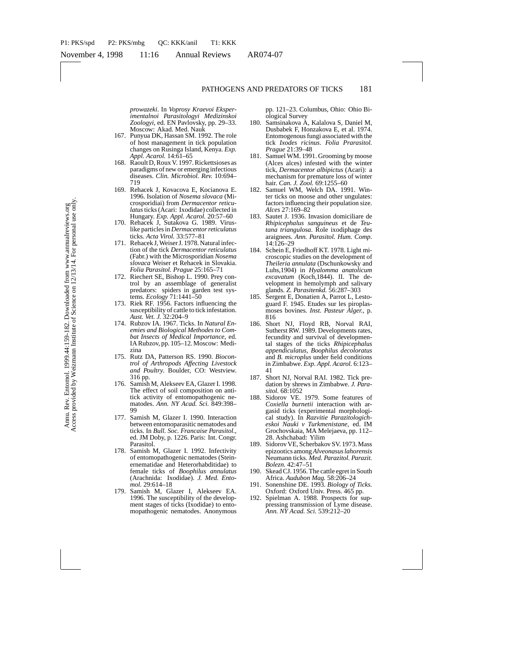*prowazeki*. In *Voprosy Kraevoi Eksperimentalnoi Parasitologyi Medizinskoi Zoologyi*, ed. EN Pavlovsky, pp. 29–33. Moscow: Akad. Med. Nauk

- 167. Punyua DK, Hassan SM. 1992. The role of host management in tick population changes on Rusinga Island, Kenya. *Exp. Appl. Acarol.* 14:61–65
- 168. Raoult D, Roux V. 1997. Rickettsioses as paradigms of new or emerging infectious diseases. *Clin. Microbiol. Rev.* 10:694– 719
- 169. Rehacek J, Kovacova E, Kocianova E. 1996. Isolation of *Nosema slovaca* (Microsporidiai) from *Dermacentor reticulatus*ticks (Acari: Ixodidae) collected in Hungary. *Exp. Appl. Acarol.* 20:57–60
- 170. Rehacek J, Sutakova G. 1989. Viruslike particles in *Dermacentor reticulatus* ticks. *Acta Virol.* 33:577–81
- 171. Rehacek J, Weiser J. 1978. Natural infection of the tick *Dermacentor reticulatus* (Fabr.) with the Microsporidian *Nosema slovaca* Weiser et Rehacek in Slovakia. *Folia Parasitol. Prague* 25:165–71
- 172. Riechert SE, Bishop L. 1990. Prey control by an assemblage of generalist predators: spiders in garden test systems. *Ecology* 71:1441–50
- 173. Riek RF. 1956. Factors influencing the susceptibility of cattle to tick infestation. *Aust. Vet. J.* 32:204–9
- 174. Rubzov IA. 1967. Ticks. In *Natural Enemies and Biological Methodes to Combat Insects of Medical Importance*, ed. IA Rubzov, pp. 105–12. Moscow: Medizina
- 175. Rutz DA, Patterson RS. 1990. *Biocontrol of Arthropods Affecting Livestock and Poultry*. Boulder, CO: Westview. 316 pp.
- 176. Samish M, Alekseev EA, Glazer I. 1998. The effect of soil composition on antitick activity of entomopathogenic nematodes. *Ann. NY Acad. Sci.* 849:398– 99
- 177. Samish M, Glazer I. 1990. Interaction between entomoparasitic nematodes and ticks. In *Bull. Soc. Francaise Parasitol.*, ed. JM Doby, p. 1226. Paris: Int. Congr. Parasitol.
- 178. Samish M, Glazer I. 1992. Infectivity of entomopathogenic nematodes (Steinernematidae and Heterorhabditidae) to female ticks of *Boophilus annulatus* (Arachnida: Ixodidae). *J. Med. Entomol.* 29:614–18
- 179. Samish M, Glazer I, Alekseev EA. 1996. The susceptibility of the development stages of ticks (Ixodidae) to entomopathogenic nematodes. Anonymous

pp. 121–23. Columbus, Ohio: Ohio Biological Survey

- 180. Samsinakova A, Kalalova S, Daniel M, Dusbabek F, Honzakova E, et al. 1974. Entomogenous fungi associated with the tick *Ixodes ricinus*. *Folia Prarasitol. Prague* 21:39–48
- 181. Samuel WM. 1991. Grooming by moose (Alces alces) infested with the winter tick, *Dermacentor albipictus* (Acari): a mechanism for premature loss of winter hair. *Can. J. Zool.* 69:1255–60
- 182. Samuel WM, Welch DA. 1991. Winter ticks on moose and other ungulates: factors influencing their population size. *Alces* 27:169–82
- 183. Sautet J. 1936. Invasion domiciliare de *Rhipicephalus sanguineus* et de *Teutana triangulosa*. Role ixodiphage des araignees. *Ann. Parasitol. Hum. Comp.* 14:126–29
- 184. Schein E, Friedhoff KT. 1978. Light microscopic studies on the development of *Theileria annulata* (Dschunkowsky and Luhs,1904) in *Hyalomma anatolicum excavatum* (Koch,1844). II. The development in hemolymph and salivary glands. *Z. Parasitenkd.* 56:287–303
- 185. Sergent E, Donatien A, Parrot L, Lestoguard F. 1945. Etudes sur les piroplasmoses bovines. *Inst. Pasteur Alger.*, p. 816
- 186. Short NJ, Floyd RB, Norval RAI, Sutherst RW. 1989. Developments rates, fecundity and survival of developmental stages of the ticks *Rhipicephalus appendiculatus*, *Boophilus decoloratus* and *B. microplus* under field conditions in Zimbabwe. *Exp. Appl. Acarol.* 6:123– 41
- 187. Short NJ, Norval RAI. 1982. Tick predation by shrews in Zimbabwe. *J. Parasitol.* 68:1052
- 188. Sidorov VE. 1979. Some features of *Coxiella burnetii* interaction with argasid ticks (experimental morphological study). In *Razvitie Parazitologicheskoi Nauki v Turkmenistane*, ed. IM Grochovskaia, MA Melejaeva, pp. 112– 28. Ashchabad: Yilim
- 189. Sidorov VE, Scherbakov SV. 1973. Mass epizootics among*Alveonasus lahorensis* Neumann ticks. *Med. Parazitol. Parazit. Bolezn.* 42:47–51
- 190. Skead CJ. 1956. The cattle egret in South Africa. *Audubon Mag.* 58:206–24
- 191. Sonenshine DE. 1993. *Biology of Ticks*. Oxford: Oxford Univ. Press. 465 pp.
- 192. Spielman A. 1988. Prospects for suppressing transmission of Lyme disease. *Ann. NY Acad. Sci.* 539:212–20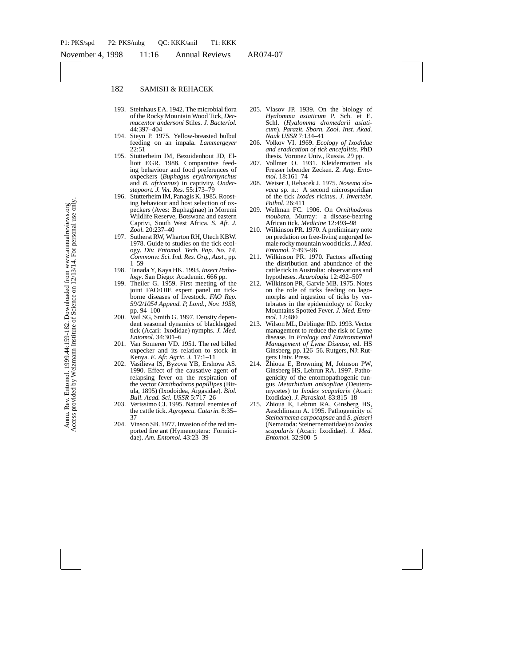- 193. Steinhaus EA. 1942. The microbial flora of the Rocky Mountain Wood Tick, *Dermacentor andersoni* Stiles. *J. Bacteriol.* 44:397–404
- 194. Steyn P. 1975. Yellow-breasted bulbul feeding on an impala. *Lammergeyer* 22:51
- 195. Stutterheim IM, Bezuidenhout JD, Elliott EGR. 1988. Comparative feeding behaviour and food preferences of oxpeckers (*Buphagus erythrorhynchus* and *B. africanus*) in captivity. *Onderstepoort. J. Vet. Res.* 55:173–79
- 196. Stutterheim IM, Panagis K. 1985. Roosting behaviour and host selection of oxpeckers (Aves: Buphaginae) in Moremi Wildlife Reserve, Botswana and eastern Caprivi, South West Africa. *S. Afr. J. Zool.* 20:237–40
- 197. Sutherst RW, Wharton RH, Utech KBW. 1978. Guide to studies on the tick ecology. *Div. Entomol. Tech. Pap. No. 14, Commonw. Sci. Ind. Res. Org., Aust.,* pp. 1–59
- 198. Tanada Y, Kaya HK. 1993. *Insect Pathology*. San Diego: Academic. 666 pp.
- 199. Theiler G. 1959. First meeting of the joint FAO/OIE expert panel on tickborne diseases of livestock. *FAO Rep. 59/2/1054 Append. P, Lond., Nov. 1958,* pp. 94–100
- 200. Vail SG, Smith G. 1997. Density dependent seasonal dynamics of blacklegged tick (Acari: Ixodidae) nymphs. *J. Med. Entomol.* 34:301–6
- 201. Van Someren VD. 1951. The red billed oxpecker and its relation to stock in Kenya. *E. Afr. Agric. J.* 17:1–11
- 202. Vasilieva IS, Byzova YB, Ershova AS. 1990. Effect of the causative agent of relapsing fever on the respiration of the vector *Ornithodoros papillipes* (Birula, 1895) (Ixodoidea, Argasidae). *Biol. Bull. Acad. Sci. USSR* 5:717–26
- 203. Verissimo CJ. 1995. Natural enemies of the cattle tick. *Agropecu. Catarin.* 8:35– 37
- 204. Vinson SB. 1977. Invasion of the red imported fire ant (Hymenoptera: Formicidae). *Am. Entomol.* 43:23–39
- 205. Vlasov JP. 1939. On the biology of *Hyalomma asiaticum* P. Sch. et E. Schl. (*Hyalomma dromedarii asiati- cum*). *Parazit. Sborn. Zool. Inst. Akad. Nauk USSR* 7:134–41
- 206. Volkov VI. 1969. *Ecology of Ixodidae and eradication of tick encefalitis*. PhD thesis. Voronez Univ., Russia. 29 pp.
- 207. Vollmer O. 1931. Kleidermotten als Fresser lebender Zecken. *Z. Ang. Entomol.* 18:161–74
- 208. Weiser J, Rehacek J. 1975. *Nosema slovaca* sp. n.: A second microsporidian of the tick *Ixodes ricinus*. *J. Invertebr. Pathol.* 26:411
- 209. Wellman FC. 1906. On *Ornithodoros moubata*, Murray: a disease-bearing African tick. *Medicine* 12:493–98
- 210. Wilkinson PR. 1970. A preliminary note on predation on free-living engorged female rocky mountain wood ticks. *J. Med. Entomol.* 7:493–96
- 211. Wilkinson PR. 1970. Factors affecting the distribution and abundance of the cattle tick in Australia: observations and hypotheses. *Acarologia* 12:492–507
- 212. Wilkinson PR, Garvie MB. 1975. Notes on the role of ticks feeding on lagomorphs and ingestion of ticks by vertebrates in the epidemiology of Rocky Mountains Spotted Fever. *J. Med. Entomol.* 12:480
- 213. Wilson ML, Deblinger RD. 1993. Vector management to reduce the risk of Lyme disease. In *Ecology and Environmental Management of Lyme Disease*, ed. HS Ginsberg, pp. 126–56. Rutgers, NJ: Rutgers Univ. Press.
- 214. Zhioua E, Browning M, Johnson PW, Ginsberg HS, Lebrun RA. 1997. Pathogenicity of the entomopathogenic fungus *Metarhizium anisopliae* (Deuteromycetes) to *Ixodes scapularis* (Acari: Ixodidae). *J. Parasitol.* 83:815–18
- 215. Zhioua E, Lebrun RA, Ginsberg HS, Aeschlimann A. 1995. Pathogenicity of *Steinernema carpocapsae* and *S. glaseri* (Nematoda: Steinernematidae) to *Ixodes scapularis* (Acari: Ixodidae). *J. Med. Entomol.* 32:900–5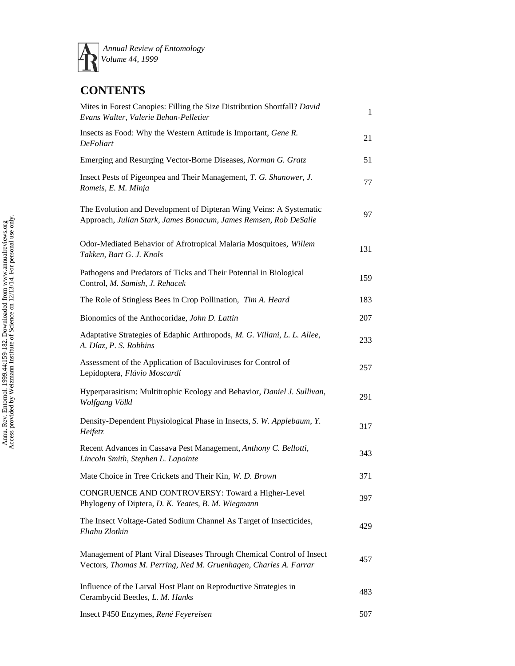

 *Annual Review of Entomology Volume 44, 1999*

# **CONTENTS**

| Mites in Forest Canopies: Filling the Size Distribution Shortfall? David<br>Evans Walter, Valerie Behan-Pelletier                         | $\mathbf{1}$ |
|-------------------------------------------------------------------------------------------------------------------------------------------|--------------|
| Insects as Food: Why the Western Attitude is Important, Gene R.<br><b>DeFoliart</b>                                                       | 21           |
| Emerging and Resurging Vector-Borne Diseases, Norman G. Gratz                                                                             | 51           |
| Insect Pests of Pigeonpea and Their Management, T. G. Shanower, J.<br>Romeis, E. M. Minja                                                 | 77           |
| The Evolution and Development of Dipteran Wing Veins: A Systematic<br>Approach, Julian Stark, James Bonacum, James Remsen, Rob DeSalle    | 97           |
| Odor-Mediated Behavior of Afrotropical Malaria Mosquitoes, Willem<br>Takken, Bart G. J. Knols                                             | 131          |
| Pathogens and Predators of Ticks and Their Potential in Biological<br>Control, M. Samish, J. Rehacek                                      | 159          |
| The Role of Stingless Bees in Crop Pollination, Tim A. Heard                                                                              | 183          |
| Bionomics of the Anthocoridae, John D. Lattin                                                                                             | 207          |
| Adaptative Strategies of Edaphic Arthropods, M. G. Villani, L. L. Allee,<br>A. Díaz, P. S. Robbins                                        | 233          |
| Assessment of the Application of Baculoviruses for Control of<br>Lepidoptera, Flávio Moscardi                                             | 257          |
| Hyperparasitism: Multitrophic Ecology and Behavior, Daniel J. Sullivan,<br>Wolfgang Völkl                                                 | 291          |
| Density-Dependent Physiological Phase in Insects, S. W. Applebaum, Y.<br>Heifetz                                                          | 317          |
| Recent Advances in Cassava Pest Management, Anthony C. Bellotti,<br>Lincoln Smith, Stephen L. Lapointe                                    | 343          |
| Mate Choice in Tree Crickets and Their Kin, W. D. Brown                                                                                   | 371          |
| CONGRUENCE AND CONTROVERSY: Toward a Higher-Level<br>Phylogeny of Diptera, D. K. Yeates, B. M. Wiegmann                                   | 397          |
| The Insect Voltage-Gated Sodium Channel As Target of Insecticides,<br>Eliahu Zlotkin                                                      | 429          |
| Management of Plant Viral Diseases Through Chemical Control of Insect<br>Vectors, Thomas M. Perring, Ned M. Gruenhagen, Charles A. Farrar | 457          |
| Influence of the Larval Host Plant on Reproductive Strategies in<br>Cerambycid Beetles, L. M. Hanks                                       | 483          |
| Insect P450 Enzymes, René Feyereisen                                                                                                      | 507          |